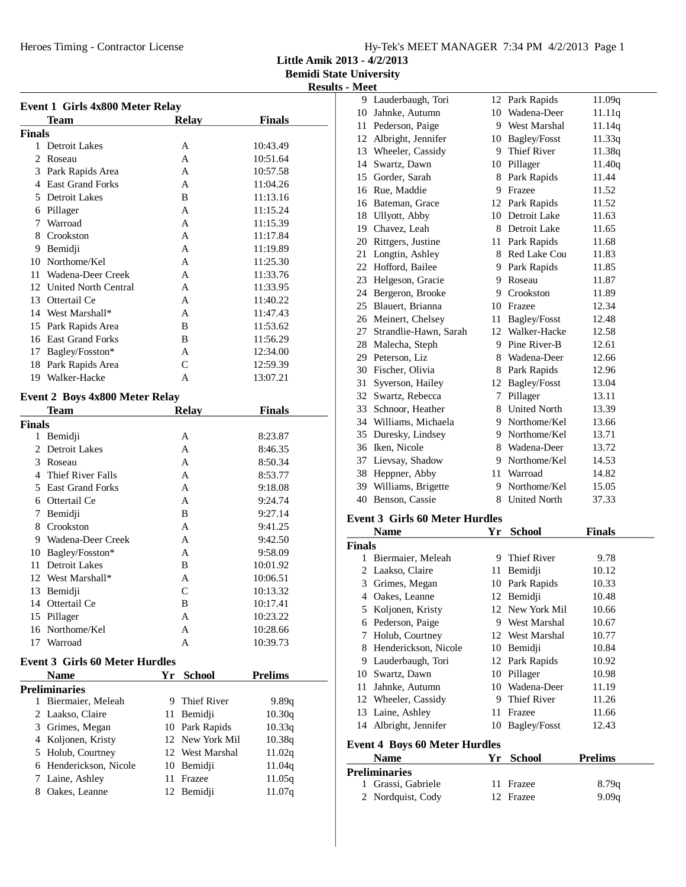**Little Amik 2013 - 4/2/2013**

**Bemidi State University Results - Meet**

| <b>Finals</b><br>Team<br><b>Relay</b><br><b>Finals</b><br>1 Detroit Lakes<br>10:43.49<br>A<br>2<br>10:51.64<br>Roseau<br>A<br>3 Park Rapids Area<br>10:57.58<br>A<br>4 East Grand Forks<br>A<br>11:04.26<br>5 Detroit Lakes<br>B<br>11:13.16<br>A<br>11:15.24<br>6 Pillager<br>7 Warroad<br>A<br>11:15.39<br>8 Crookston<br>11:17.84<br>A<br>9 Bemidji<br>A<br>11:19.89<br>10 Northome/Kel<br>11:25.30<br>A<br>11 Wadena-Deer Creek<br>11:33.76<br>A<br>12 United North Central<br>11:33.95<br>A<br>13 Ottertail Ce<br>11:40.22<br>A<br>14 West Marshall*<br>11:47.43<br>A<br>15 Park Rapids Area<br>B<br>11:53.62<br>16 East Grand Forks<br>B<br>11:56.29<br>17 Bagley/Fosston*<br>A<br>12:34.00<br>18 Park Rapids Area<br>$\mathsf{C}$<br>12:59.39<br>19 Walker-Hacke<br>A<br>13:07.21<br><b>Event 2 Boys 4x800 Meter Relay</b><br><b>Relay</b><br><b>Finals</b><br><b>Team</b><br><b>Finals</b><br>1 Bemidji<br>8:23.87<br>A<br>2 Detroit Lakes<br>8:46.35<br>A<br>3 Roseau<br>8:50.34<br>A<br>4 Thief River Falls<br>A<br>8:53.77<br>5 East Grand Forks<br>A<br>9:18.08<br>6 Ottertail Ce<br>A<br>9:24.74<br>7 Bemidji<br>B<br>9:27.14<br>8 Crookston<br>A<br>9:41.25<br>9 Wadena-Deer Creek<br>9:42.50<br>A<br>10 Bagley/Fosston*<br>9:58.09<br>A<br>11 Detroit Lakes<br>B<br>10:01.92<br>12 West Marshall*<br>10:06.51<br>А<br>C<br>13<br>Bemidji<br>10:13.32<br>Ottertail Ce<br>10:17.41<br>14<br>B<br>Pillager<br>10:23.22<br>15<br>Α<br>Northome/Kel<br>16<br>Α<br>10:28.66<br>Warroad<br>A<br>17<br>10:39.73<br><b>Event 3 Girls 60 Meter Hurdles</b><br>Yr<br><b>School</b><br><b>Prelims</b><br><b>Name</b><br><b>Preliminaries</b><br>1<br>Biermaier, Meleah<br>9 Thief River<br>9.89q |        | <b>Event 1 Girls 4x800 Meter Relay</b> |  |
|-----------------------------------------------------------------------------------------------------------------------------------------------------------------------------------------------------------------------------------------------------------------------------------------------------------------------------------------------------------------------------------------------------------------------------------------------------------------------------------------------------------------------------------------------------------------------------------------------------------------------------------------------------------------------------------------------------------------------------------------------------------------------------------------------------------------------------------------------------------------------------------------------------------------------------------------------------------------------------------------------------------------------------------------------------------------------------------------------------------------------------------------------------------------------------------------------------------------------------------------------------------------------------------------------------------------------------------------------------------------------------------------------------------------------------------------------------------------------------------------------------------------------------------------------------------------------------------------------------------------------------------------------------------------------------------------------------|--------|----------------------------------------|--|
|                                                                                                                                                                                                                                                                                                                                                                                                                                                                                                                                                                                                                                                                                                                                                                                                                                                                                                                                                                                                                                                                                                                                                                                                                                                                                                                                                                                                                                                                                                                                                                                                                                                                                                     |        |                                        |  |
|                                                                                                                                                                                                                                                                                                                                                                                                                                                                                                                                                                                                                                                                                                                                                                                                                                                                                                                                                                                                                                                                                                                                                                                                                                                                                                                                                                                                                                                                                                                                                                                                                                                                                                     |        |                                        |  |
|                                                                                                                                                                                                                                                                                                                                                                                                                                                                                                                                                                                                                                                                                                                                                                                                                                                                                                                                                                                                                                                                                                                                                                                                                                                                                                                                                                                                                                                                                                                                                                                                                                                                                                     |        |                                        |  |
|                                                                                                                                                                                                                                                                                                                                                                                                                                                                                                                                                                                                                                                                                                                                                                                                                                                                                                                                                                                                                                                                                                                                                                                                                                                                                                                                                                                                                                                                                                                                                                                                                                                                                                     |        |                                        |  |
|                                                                                                                                                                                                                                                                                                                                                                                                                                                                                                                                                                                                                                                                                                                                                                                                                                                                                                                                                                                                                                                                                                                                                                                                                                                                                                                                                                                                                                                                                                                                                                                                                                                                                                     |        |                                        |  |
|                                                                                                                                                                                                                                                                                                                                                                                                                                                                                                                                                                                                                                                                                                                                                                                                                                                                                                                                                                                                                                                                                                                                                                                                                                                                                                                                                                                                                                                                                                                                                                                                                                                                                                     |        |                                        |  |
|                                                                                                                                                                                                                                                                                                                                                                                                                                                                                                                                                                                                                                                                                                                                                                                                                                                                                                                                                                                                                                                                                                                                                                                                                                                                                                                                                                                                                                                                                                                                                                                                                                                                                                     |        |                                        |  |
|                                                                                                                                                                                                                                                                                                                                                                                                                                                                                                                                                                                                                                                                                                                                                                                                                                                                                                                                                                                                                                                                                                                                                                                                                                                                                                                                                                                                                                                                                                                                                                                                                                                                                                     |        |                                        |  |
|                                                                                                                                                                                                                                                                                                                                                                                                                                                                                                                                                                                                                                                                                                                                                                                                                                                                                                                                                                                                                                                                                                                                                                                                                                                                                                                                                                                                                                                                                                                                                                                                                                                                                                     |        |                                        |  |
|                                                                                                                                                                                                                                                                                                                                                                                                                                                                                                                                                                                                                                                                                                                                                                                                                                                                                                                                                                                                                                                                                                                                                                                                                                                                                                                                                                                                                                                                                                                                                                                                                                                                                                     |        |                                        |  |
|                                                                                                                                                                                                                                                                                                                                                                                                                                                                                                                                                                                                                                                                                                                                                                                                                                                                                                                                                                                                                                                                                                                                                                                                                                                                                                                                                                                                                                                                                                                                                                                                                                                                                                     |        |                                        |  |
|                                                                                                                                                                                                                                                                                                                                                                                                                                                                                                                                                                                                                                                                                                                                                                                                                                                                                                                                                                                                                                                                                                                                                                                                                                                                                                                                                                                                                                                                                                                                                                                                                                                                                                     |        |                                        |  |
|                                                                                                                                                                                                                                                                                                                                                                                                                                                                                                                                                                                                                                                                                                                                                                                                                                                                                                                                                                                                                                                                                                                                                                                                                                                                                                                                                                                                                                                                                                                                                                                                                                                                                                     |        |                                        |  |
|                                                                                                                                                                                                                                                                                                                                                                                                                                                                                                                                                                                                                                                                                                                                                                                                                                                                                                                                                                                                                                                                                                                                                                                                                                                                                                                                                                                                                                                                                                                                                                                                                                                                                                     |        |                                        |  |
|                                                                                                                                                                                                                                                                                                                                                                                                                                                                                                                                                                                                                                                                                                                                                                                                                                                                                                                                                                                                                                                                                                                                                                                                                                                                                                                                                                                                                                                                                                                                                                                                                                                                                                     |        |                                        |  |
|                                                                                                                                                                                                                                                                                                                                                                                                                                                                                                                                                                                                                                                                                                                                                                                                                                                                                                                                                                                                                                                                                                                                                                                                                                                                                                                                                                                                                                                                                                                                                                                                                                                                                                     |        |                                        |  |
|                                                                                                                                                                                                                                                                                                                                                                                                                                                                                                                                                                                                                                                                                                                                                                                                                                                                                                                                                                                                                                                                                                                                                                                                                                                                                                                                                                                                                                                                                                                                                                                                                                                                                                     |        |                                        |  |
|                                                                                                                                                                                                                                                                                                                                                                                                                                                                                                                                                                                                                                                                                                                                                                                                                                                                                                                                                                                                                                                                                                                                                                                                                                                                                                                                                                                                                                                                                                                                                                                                                                                                                                     |        |                                        |  |
|                                                                                                                                                                                                                                                                                                                                                                                                                                                                                                                                                                                                                                                                                                                                                                                                                                                                                                                                                                                                                                                                                                                                                                                                                                                                                                                                                                                                                                                                                                                                                                                                                                                                                                     |        |                                        |  |
|                                                                                                                                                                                                                                                                                                                                                                                                                                                                                                                                                                                                                                                                                                                                                                                                                                                                                                                                                                                                                                                                                                                                                                                                                                                                                                                                                                                                                                                                                                                                                                                                                                                                                                     |        |                                        |  |
|                                                                                                                                                                                                                                                                                                                                                                                                                                                                                                                                                                                                                                                                                                                                                                                                                                                                                                                                                                                                                                                                                                                                                                                                                                                                                                                                                                                                                                                                                                                                                                                                                                                                                                     |        |                                        |  |
|                                                                                                                                                                                                                                                                                                                                                                                                                                                                                                                                                                                                                                                                                                                                                                                                                                                                                                                                                                                                                                                                                                                                                                                                                                                                                                                                                                                                                                                                                                                                                                                                                                                                                                     |        |                                        |  |
|                                                                                                                                                                                                                                                                                                                                                                                                                                                                                                                                                                                                                                                                                                                                                                                                                                                                                                                                                                                                                                                                                                                                                                                                                                                                                                                                                                                                                                                                                                                                                                                                                                                                                                     |        |                                        |  |
|                                                                                                                                                                                                                                                                                                                                                                                                                                                                                                                                                                                                                                                                                                                                                                                                                                                                                                                                                                                                                                                                                                                                                                                                                                                                                                                                                                                                                                                                                                                                                                                                                                                                                                     |        |                                        |  |
|                                                                                                                                                                                                                                                                                                                                                                                                                                                                                                                                                                                                                                                                                                                                                                                                                                                                                                                                                                                                                                                                                                                                                                                                                                                                                                                                                                                                                                                                                                                                                                                                                                                                                                     |        |                                        |  |
|                                                                                                                                                                                                                                                                                                                                                                                                                                                                                                                                                                                                                                                                                                                                                                                                                                                                                                                                                                                                                                                                                                                                                                                                                                                                                                                                                                                                                                                                                                                                                                                                                                                                                                     |        |                                        |  |
|                                                                                                                                                                                                                                                                                                                                                                                                                                                                                                                                                                                                                                                                                                                                                                                                                                                                                                                                                                                                                                                                                                                                                                                                                                                                                                                                                                                                                                                                                                                                                                                                                                                                                                     |        |                                        |  |
|                                                                                                                                                                                                                                                                                                                                                                                                                                                                                                                                                                                                                                                                                                                                                                                                                                                                                                                                                                                                                                                                                                                                                                                                                                                                                                                                                                                                                                                                                                                                                                                                                                                                                                     |        |                                        |  |
|                                                                                                                                                                                                                                                                                                                                                                                                                                                                                                                                                                                                                                                                                                                                                                                                                                                                                                                                                                                                                                                                                                                                                                                                                                                                                                                                                                                                                                                                                                                                                                                                                                                                                                     |        |                                        |  |
|                                                                                                                                                                                                                                                                                                                                                                                                                                                                                                                                                                                                                                                                                                                                                                                                                                                                                                                                                                                                                                                                                                                                                                                                                                                                                                                                                                                                                                                                                                                                                                                                                                                                                                     |        |                                        |  |
|                                                                                                                                                                                                                                                                                                                                                                                                                                                                                                                                                                                                                                                                                                                                                                                                                                                                                                                                                                                                                                                                                                                                                                                                                                                                                                                                                                                                                                                                                                                                                                                                                                                                                                     |        |                                        |  |
|                                                                                                                                                                                                                                                                                                                                                                                                                                                                                                                                                                                                                                                                                                                                                                                                                                                                                                                                                                                                                                                                                                                                                                                                                                                                                                                                                                                                                                                                                                                                                                                                                                                                                                     |        |                                        |  |
|                                                                                                                                                                                                                                                                                                                                                                                                                                                                                                                                                                                                                                                                                                                                                                                                                                                                                                                                                                                                                                                                                                                                                                                                                                                                                                                                                                                                                                                                                                                                                                                                                                                                                                     |        |                                        |  |
|                                                                                                                                                                                                                                                                                                                                                                                                                                                                                                                                                                                                                                                                                                                                                                                                                                                                                                                                                                                                                                                                                                                                                                                                                                                                                                                                                                                                                                                                                                                                                                                                                                                                                                     |        |                                        |  |
|                                                                                                                                                                                                                                                                                                                                                                                                                                                                                                                                                                                                                                                                                                                                                                                                                                                                                                                                                                                                                                                                                                                                                                                                                                                                                                                                                                                                                                                                                                                                                                                                                                                                                                     |        |                                        |  |
|                                                                                                                                                                                                                                                                                                                                                                                                                                                                                                                                                                                                                                                                                                                                                                                                                                                                                                                                                                                                                                                                                                                                                                                                                                                                                                                                                                                                                                                                                                                                                                                                                                                                                                     |        |                                        |  |
|                                                                                                                                                                                                                                                                                                                                                                                                                                                                                                                                                                                                                                                                                                                                                                                                                                                                                                                                                                                                                                                                                                                                                                                                                                                                                                                                                                                                                                                                                                                                                                                                                                                                                                     |        |                                        |  |
|                                                                                                                                                                                                                                                                                                                                                                                                                                                                                                                                                                                                                                                                                                                                                                                                                                                                                                                                                                                                                                                                                                                                                                                                                                                                                                                                                                                                                                                                                                                                                                                                                                                                                                     |        |                                        |  |
|                                                                                                                                                                                                                                                                                                                                                                                                                                                                                                                                                                                                                                                                                                                                                                                                                                                                                                                                                                                                                                                                                                                                                                                                                                                                                                                                                                                                                                                                                                                                                                                                                                                                                                     |        |                                        |  |
|                                                                                                                                                                                                                                                                                                                                                                                                                                                                                                                                                                                                                                                                                                                                                                                                                                                                                                                                                                                                                                                                                                                                                                                                                                                                                                                                                                                                                                                                                                                                                                                                                                                                                                     |        |                                        |  |
|                                                                                                                                                                                                                                                                                                                                                                                                                                                                                                                                                                                                                                                                                                                                                                                                                                                                                                                                                                                                                                                                                                                                                                                                                                                                                                                                                                                                                                                                                                                                                                                                                                                                                                     |        |                                        |  |
|                                                                                                                                                                                                                                                                                                                                                                                                                                                                                                                                                                                                                                                                                                                                                                                                                                                                                                                                                                                                                                                                                                                                                                                                                                                                                                                                                                                                                                                                                                                                                                                                                                                                                                     |        |                                        |  |
|                                                                                                                                                                                                                                                                                                                                                                                                                                                                                                                                                                                                                                                                                                                                                                                                                                                                                                                                                                                                                                                                                                                                                                                                                                                                                                                                                                                                                                                                                                                                                                                                                                                                                                     |        |                                        |  |
|                                                                                                                                                                                                                                                                                                                                                                                                                                                                                                                                                                                                                                                                                                                                                                                                                                                                                                                                                                                                                                                                                                                                                                                                                                                                                                                                                                                                                                                                                                                                                                                                                                                                                                     |        |                                        |  |
|                                                                                                                                                                                                                                                                                                                                                                                                                                                                                                                                                                                                                                                                                                                                                                                                                                                                                                                                                                                                                                                                                                                                                                                                                                                                                                                                                                                                                                                                                                                                                                                                                                                                                                     |        |                                        |  |
|                                                                                                                                                                                                                                                                                                                                                                                                                                                                                                                                                                                                                                                                                                                                                                                                                                                                                                                                                                                                                                                                                                                                                                                                                                                                                                                                                                                                                                                                                                                                                                                                                                                                                                     |        |                                        |  |
| $\overline{2}$<br>Laakso, Claire<br>10.30q<br>11<br>Bemidji                                                                                                                                                                                                                                                                                                                                                                                                                                                                                                                                                                                                                                                                                                                                                                                                                                                                                                                                                                                                                                                                                                                                                                                                                                                                                                                                                                                                                                                                                                                                                                                                                                         |        |                                        |  |
| 10 Park Rapids<br>3 Grimes, Megan<br>10.33q                                                                                                                                                                                                                                                                                                                                                                                                                                                                                                                                                                                                                                                                                                                                                                                                                                                                                                                                                                                                                                                                                                                                                                                                                                                                                                                                                                                                                                                                                                                                                                                                                                                         |        |                                        |  |
| 12 New York Mil<br>4 Koljonen, Kristy<br>10.38q                                                                                                                                                                                                                                                                                                                                                                                                                                                                                                                                                                                                                                                                                                                                                                                                                                                                                                                                                                                                                                                                                                                                                                                                                                                                                                                                                                                                                                                                                                                                                                                                                                                     |        |                                        |  |
| 12 West Marshal<br>5 Holub, Courtney<br>11.02q                                                                                                                                                                                                                                                                                                                                                                                                                                                                                                                                                                                                                                                                                                                                                                                                                                                                                                                                                                                                                                                                                                                                                                                                                                                                                                                                                                                                                                                                                                                                                                                                                                                      |        |                                        |  |
| 6 Henderickson, Nicole<br>10 Bemidji<br>11.04q                                                                                                                                                                                                                                                                                                                                                                                                                                                                                                                                                                                                                                                                                                                                                                                                                                                                                                                                                                                                                                                                                                                                                                                                                                                                                                                                                                                                                                                                                                                                                                                                                                                      |        |                                        |  |
| 7 Laine, Ashley<br>11<br>Frazee                                                                                                                                                                                                                                                                                                                                                                                                                                                                                                                                                                                                                                                                                                                                                                                                                                                                                                                                                                                                                                                                                                                                                                                                                                                                                                                                                                                                                                                                                                                                                                                                                                                                     |        |                                        |  |
| 8 Oakes, Leanne<br>Bemidji<br>11.07q<br>12                                                                                                                                                                                                                                                                                                                                                                                                                                                                                                                                                                                                                                                                                                                                                                                                                                                                                                                                                                                                                                                                                                                                                                                                                                                                                                                                                                                                                                                                                                                                                                                                                                                          | 11.05q |                                        |  |

|    | 9 Lauderbaugh, Tori   | 12 | Park Rapids         | 11.09q |
|----|-----------------------|----|---------------------|--------|
| 10 | Jahnke, Autumn        | 10 | Wadena-Deer         | 11.11q |
| 11 | Pederson, Paige       |    | 9 West Marshal      | 11.14q |
|    | 12 Albright, Jennifer |    | 10 Bagley/Fosst     | 11.33q |
| 13 | Wheeler, Cassidy      | 9. | <b>Thief River</b>  | 11.38q |
| 14 | Swartz, Dawn          | 10 | Pillager            | 11.40q |
|    | 15 Gorder, Sarah      | 8  | Park Rapids         | 11.44  |
| 16 | Rue, Maddie           | 9  | Frazee              | 11.52  |
|    | 16 Bateman, Grace     | 12 | Park Rapids         | 11.52  |
|    | 18 Ullyott, Abby      | 10 | Detroit Lake        | 11.63  |
| 19 | Chavez, Leah          | 8  | Detroit Lake        | 11.65  |
| 20 | Rittgers, Justine     | 11 | Park Rapids         | 11.68  |
| 21 | Longtin, Ashley       |    | 8 Red Lake Cou      | 11.83  |
|    | 22 Hofford, Bailee    |    | 9 Park Rapids       | 11.85  |
| 23 | Helgeson, Gracie      | 9  | Roseau              | 11.87  |
|    | 24 Bergeron, Brooke   |    | 9 Crookston         | 11.89  |
|    | 25 Blauert, Brianna   |    | 10 Frazee           | 12.34  |
| 26 | Meinert, Chelsey      | 11 | Bagley/Fosst        | 12.48  |
| 27 | Strandlie-Hawn, Sarah |    | 12 Walker-Hacke     | 12.58  |
|    | 28 Malecha, Steph     | 9. | Pine River-B        | 12.61  |
|    | 29 Peterson, Liz      | 8  | Wadena-Deer         | 12.66  |
|    | 30 Fischer, Olivia    |    | 8 Park Rapids       | 12.96  |
| 31 | Syverson, Hailey      |    | 12 Bagley/Fosst     | 13.04  |
| 32 | Swartz, Rebecca       | 7  | Pillager            | 13.11  |
| 33 | Schnoor, Heather      | 8  | <b>United North</b> | 13.39  |
|    | 34 Williams, Michaela |    | 9 Northome/Kel      | 13.66  |
| 35 | Duresky, Lindsey      |    | 9 Northome/Kel      | 13.71  |
|    | 36 Iken. Nicole       | 8. | Wadena-Deer         | 13.72  |
|    | 37 Lievsay, Shadow    | 9  | Northome/Kel        | 14.53  |
| 38 | Heppner, Abby         | 11 | Warroad             | 14.82  |
| 39 | Williams, Brigette    | 9. | Northome/Kel        | 15.05  |
|    | 40 Benson, Cassie     | 8  | <b>United North</b> | 37.33  |
|    |                       |    |                     |        |

## **Event 3 Girls 60 Meter Hurdles**

|               | Name                                 | Yr | <b>School</b>      | Finals         |
|---------------|--------------------------------------|----|--------------------|----------------|
| <b>Finals</b> |                                      |    |                    |                |
| 1             | Biermaier, Meleah                    | 9  | <b>Thief River</b> | 9.78           |
| 2             | Laakso, Claire                       | 11 | Bemidji            | 10.12          |
| 3             | Grimes, Megan                        | 10 | Park Rapids        | 10.33          |
| 4             | Oakes, Leanne                        |    | 12 Bemidji         | 10.48          |
| 5             | Koljonen, Kristy                     |    | 12 New York Mil    | 10.66          |
| 6             | Pederson, Paige                      | 9  | West Marshal       | 10.67          |
| 7             | Holub, Courtney                      |    | 12 West Marshal    | 10.77          |
| 8             | Henderickson, Nicole                 | 10 | Bemidji            | 10.84          |
| 9             | Lauderbaugh, Tori                    | 12 | Park Rapids        | 10.92          |
| 10            | Swartz, Dawn                         | 10 | Pillager           | 10.98          |
| 11            | Jahnke, Autumn                       | 10 | Wadena-Deer        | 11.19          |
|               | 12 Wheeler, Cassidy                  | 9  | Thief River        | 11.26          |
| 13            | Laine, Ashley                        | 11 | Frazee             | 11.66          |
|               | 14 Albright, Jennifer                |    | 10 Bagley/Fosst    | 12.43          |
|               | <b>Event 4 Boys 60 Meter Hurdles</b> |    |                    |                |
|               | <b>Name</b>                          | Yr | <b>School</b>      | <b>Prelims</b> |
|               | <b>Preliminaries</b>                 |    |                    |                |
| 1             | Grassi, Gabriele                     | 11 | Frazee             | 8.79q          |
| 2             | Nordquist, Cody                      | 12 | Frazee             | 9.09q          |
|               |                                      |    |                    |                |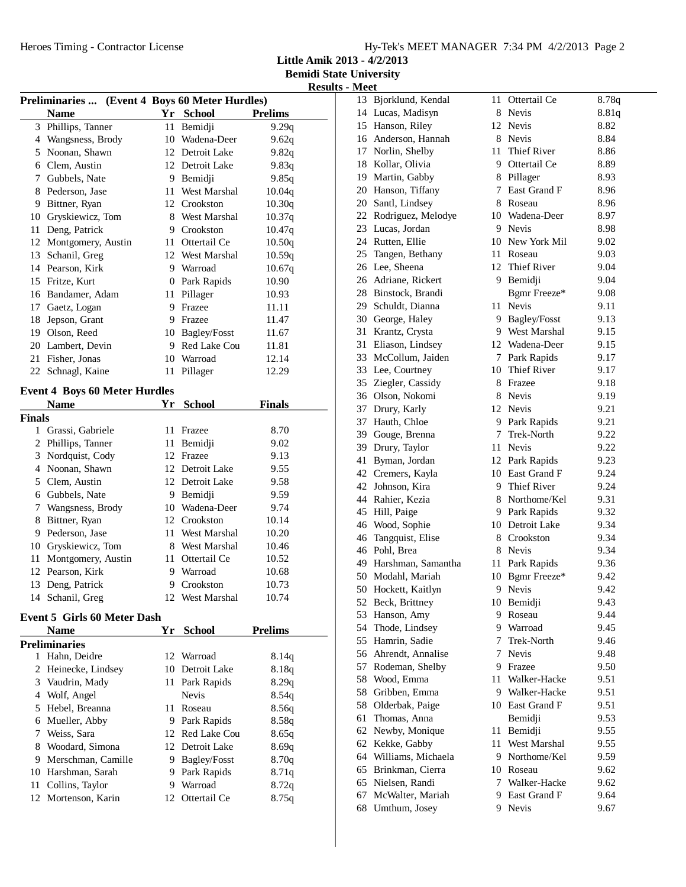**Little Amik 2013 - 4/2/2013**

**Bemidi State University Results - Meet**

| <b>Preliminaries </b><br>(Event 4 Boys 60 Meter Hurdles) |                                      |    |                 |                |
|----------------------------------------------------------|--------------------------------------|----|-----------------|----------------|
|                                                          | <b>Name</b>                          |    | Yr School       | <b>Prelims</b> |
| 3                                                        | Phillips, Tanner                     | 11 | Bemidji         | 9.29q          |
|                                                          | 4 Wangsness, Brody                   | 10 | Wadena-Deer     | 9.62q          |
| 5                                                        | Noonan, Shawn                        |    | 12 Detroit Lake | 9.82q          |
|                                                          | 6 Clem, Austin                       |    | 12 Detroit Lake | 9.83q          |
|                                                          | 7 Gubbels, Nate                      |    | 9 Bemidji       | 9.85q          |
|                                                          | 8 Pederson, Jase                     |    | 11 West Marshal | 10.04q         |
| 9                                                        | Bittner, Ryan                        |    | 12 Crookston    | 10.30q         |
| 10                                                       | Gryskiewicz, Tom                     |    | 8 West Marshal  | 10.37q         |
| 11                                                       | Deng, Patrick                        |    | 9 Crookston     | 10.47q         |
| 12                                                       | Montgomery, Austin                   |    | 11 Ottertail Ce | 10.50q         |
| 13                                                       | Schanil, Greg                        |    | 12 West Marshal | 10.59q         |
|                                                          | 14 Pearson, Kirk                     |    | 9 Warroad       | 10.67q         |
|                                                          | 15 Fritze, Kurt                      |    | 0 Park Rapids   | 10.90          |
|                                                          | 16 Bandamer, Adam                    |    | 11 Pillager     | 10.93          |
| 17                                                       | Gaetz, Logan                         |    | 9 Frazee        | 11.11          |
| 18                                                       | Jepson, Grant                        |    | 9 Frazee        | 11.47          |
|                                                          | 19 Olson, Reed                       |    | 10 Bagley/Fosst | 11.67          |
|                                                          | 20 Lambert, Devin                    |    | 9 Red Lake Cou  | 11.81          |
| 21                                                       | Fisher, Jonas                        |    | 10 Warroad      | 12.14          |
|                                                          | 22 Schnagl, Kaine                    | 11 | Pillager        | 12.29          |
|                                                          | <b>Event 4 Boys 60 Meter Hurdles</b> |    |                 |                |
|                                                          | <b>Name</b>                          |    | Yr School       | <b>Finals</b>  |
| Finals                                                   |                                      |    |                 |                |
| 1                                                        | Grassi, Gabriele                     | 11 | Frazee          | 8.70           |
| $\overline{c}$                                           | Phillips, Tanner                     | 11 | Bemidji         | 9.02           |
| 3                                                        | Nordquist, Cody                      |    | 12 Frazee       | 9.13           |
|                                                          | 4 Noonan, Shawn                      |    | 12 Detroit Lake | 9.55           |
|                                                          | 5 Clem, Austin                       |    | 12 Detroit Lake | 9.58           |
|                                                          | 6 Gubbels, Nate                      |    | 9 Bemidji       | 9.59           |
| 7                                                        | Wangsness, Brody                     |    | 10 Wadena-Deer  | 9.74           |
| 8                                                        | Bittner, Ryan                        |    | 12 Crookston    | 10.14          |
| 9                                                        | Pederson, Jase                       |    | 11 West Marshal | 10.20          |
| 10                                                       | Gryskiewicz, Tom                     |    | 8 West Marshal  | 10.46          |
| 11                                                       | Montgomery, Austin                   |    | 11 Ottertail Ce | 10.52          |
| 12                                                       | Pearson, Kirk                        |    | 9 Warroad       | 10.68          |
| 13                                                       | Deng, Patrick                        |    | 9 Crookston     | 10.73          |
|                                                          | 14 Schanil, Greg                     |    | 12 West Marshal | 10.74          |
|                                                          |                                      |    |                 |                |
|                                                          | <b>Event 5 Girls 60 Meter Dash</b>   |    |                 |                |
|                                                          | <b>Name</b>                          | Yr | <b>School</b>   | <b>Prelims</b> |
|                                                          | <b>Preliminaries</b>                 |    |                 |                |
|                                                          | 1 Hahn, Deidre                       |    | 12 Warroad      | 8.14q          |
| 2                                                        | Heinecke, Lindsey                    |    | 10 Detroit Lake | 8.18q          |
|                                                          | 3 Vaudrin, Mady                      | 11 | Park Rapids     | 8.29q          |
| 4                                                        | Wolf, Angel                          |    | Nevis           | 8.54q          |
| 5                                                        | Hebel, Breanna                       |    | 11 Roseau       | 8.56q          |
|                                                          | 6 Mueller, Abby                      |    | 9 Park Rapids   | 8.58q          |
| 7                                                        | Weiss, Sara                          |    | 12 Red Lake Cou | 8.65q          |
| 8                                                        | Woodard, Simona                      |    | 12 Detroit Lake | 8.69q          |
| 9                                                        | Merschman, Camille                   |    | 9 Bagley/Fosst  | 8.70q          |
| 10                                                       | Harshman, Sarah                      |    | 9 Park Rapids   | 8.71q          |
| 11                                                       | Collins, Taylor                      |    | 9 Warroad       | 8.72q          |
| 12                                                       | Mortenson, Karin                     |    | 12 Ottertail Ce | 8.75q          |

| 13 | Bjorklund, Kendal  | 11   | Ottertail Ce                 | 8.78q |
|----|--------------------|------|------------------------------|-------|
| 14 | Lucas, Madisyn     | 8    | Nevis                        | 8.81q |
| 15 | Hanson, Riley      |      | 12 Nevis                     | 8.82  |
| 16 | Anderson, Hannah   |      | 8 Nevis                      | 8.84  |
| 17 | Norlin, Shelby     | 11   | <b>Thief River</b>           | 8.86  |
| 18 | Kollar, Olivia     |      | 9 Ottertail Ce               | 8.89  |
| 19 | Martin, Gabby      |      | 8 Pillager                   | 8.93  |
| 20 | Hanson, Tiffany    | 7    | East Grand F                 | 8.96  |
| 20 | Santl, Lindsey     | 8    | Roseau                       | 8.96  |
| 22 | Rodriguez, Melodye |      | 10 Wadena-Deer               | 8.97  |
| 23 | Lucas, Jordan      |      | 9 Nevis                      | 8.98  |
| 24 | Rutten, Ellie      |      | 10 New York Mil              | 9.02  |
| 25 | Tangen, Bethany    | 11-  | Roseau                       | 9.03  |
| 26 | Lee, Sheena        |      | 12 Thief River               | 9.04  |
| 26 |                    |      |                              |       |
|    | Adriane, Rickert   |      | 9 Bemidji                    | 9.04  |
| 28 | Binstock, Brandi   |      | Bgmr Freeze*<br><b>Nevis</b> | 9.08  |
| 29 | Schuldt, Dianna    | 11   |                              | 9.11  |
| 30 | George, Haley      |      | 9 Bagley/Fosst               | 9.13  |
| 31 | Krantz, Crysta     |      | 9 West Marshal               | 9.15  |
| 31 | Eliason, Lindsey   |      | 12 Wadena-Deer               | 9.15  |
| 33 | McCollum, Jaiden   | 7    | Park Rapids                  | 9.17  |
| 33 | Lee, Courtney      | 10   | Thief River                  | 9.17  |
| 35 | Ziegler, Cassidy   | 8    | Frazee                       | 9.18  |
| 36 | Olson, Nokomi      |      | 8 Nevis                      | 9.19  |
| 37 | Drury, Karly       |      | 12 Nevis                     | 9.21  |
| 37 | Hauth, Chloe       |      | 9 Park Rapids                | 9.21  |
| 39 | Gouge, Brenna      |      | 7 Trek-North                 | 9.22  |
| 39 | Drury, Taylor      | 11   | Nevis                        | 9.22  |
| 41 | Byman, Jordan      |      | 12 Park Rapids               | 9.23  |
| 42 | Cremers, Kayla     |      | 10 East Grand F              | 9.24  |
| 42 | Johnson, Kira      | 9    | Thief River                  | 9.24  |
| 44 | Rahier, Kezia      | 8    | Northome/Kel                 | 9.31  |
| 45 | Hill, Paige        | 9.   | Park Rapids                  | 9.32  |
| 46 | Wood, Sophie       | 10   | Detroit Lake                 | 9.34  |
| 46 | Tangquist, Elise   | 8    | Crookston                    | 9.34  |
| 46 | Pohl, Brea         | 8    | <b>Nevis</b>                 | 9.34  |
| 49 | Harshman, Samantha | 11 - | Park Rapids                  | 9.36  |
| 50 | Modahl, Mariah     | 10   | Bgmr Freeze*                 | 9.42  |
| 50 | Hockett, Kaitlyn   | 9    | Nevis                        | 9.42  |
| 52 | Beck, Brittney     |      | 10 Bemidji                   | 9.43  |
| 53 | Hanson, Amy        | 9.   | Roseau                       | 9.44  |
| 54 | Thode, Lindsey     |      | 9 Warroad                    | 9.45  |
| 55 | Hamrin, Sadie      | 7    | Trek-North                   | 9.46  |
| 56 | Ahrendt, Annalise  | 7    | <b>Nevis</b>                 | 9.48  |
| 57 | Rodeman, Shelby    |      | 9 Frazee                     | 9.50  |
| 58 | Wood, Emma         | 11 - | Walker-Hacke                 | 9.51  |
| 58 | Gribben, Emma      |      | 9 Walker-Hacke               | 9.51  |
| 58 | Olderbak, Paige    |      | 10 East Grand F              | 9.51  |
| 61 | Thomas, Anna       |      | Bemidji                      | 9.53  |
| 62 | Newby, Monique     | 11   | Bemidji                      | 9.55  |
| 62 | Kekke, Gabby       | 11-  | West Marshal                 | 9.55  |
| 64 | Williams, Michaela |      | 9 Northome/Kel               | 9.59  |
| 65 | Brinkman, Cierra   |      | 10 Roseau                    | 9.62  |
| 65 | Nielsen, Randi     |      | 7 Walker-Hacke               | 9.62  |
| 67 | McWalter, Mariah   |      | 9 East Grand F               | 9.64  |
| 68 | Umthum, Josey      |      | 9 Nevis                      | 9.67  |
|    |                    |      |                              |       |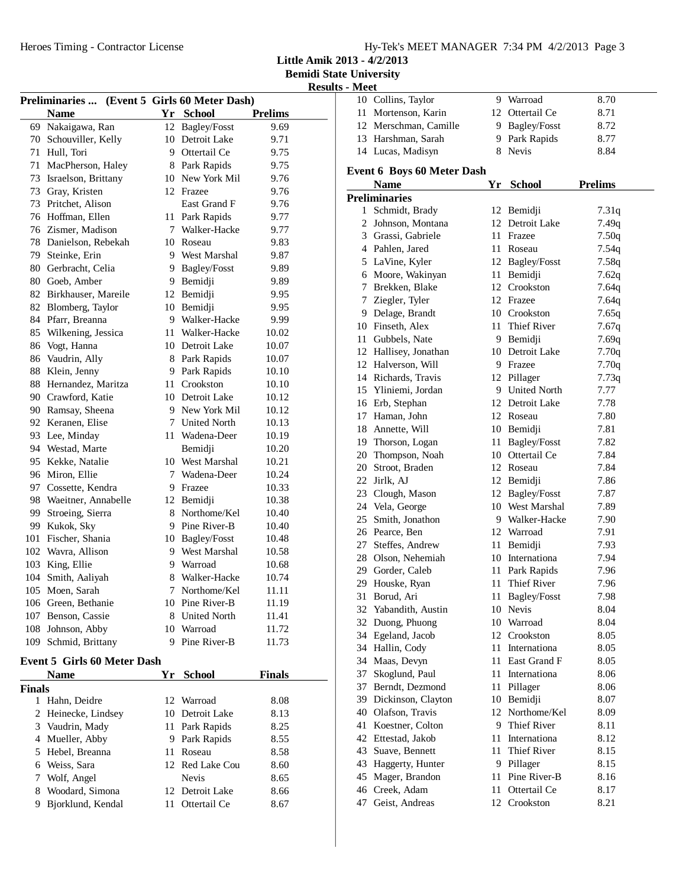**Little Amik 2013 - 4/2/2013**

**Bemidi State University Results - Meet**

| Preliminaries  (Event 5 Girls 60 Meter Dash) |                                    |    |                     |                |  |
|----------------------------------------------|------------------------------------|----|---------------------|----------------|--|
|                                              | <b>Name</b>                        |    | Yr School           | <b>Prelims</b> |  |
| 69                                           | Nakaigawa, Ran                     |    | 12 Bagley/Fosst     | 9.69           |  |
|                                              | 70 Schouviller, Kelly              |    | 10 Detroit Lake     | 9.71           |  |
|                                              | 71 Hull, Tori                      |    | 9 Ottertail Ce      | 9.75           |  |
|                                              | 71 MacPherson, Haley               |    | 8 Park Rapids       | 9.75           |  |
| 73                                           | Israelson, Brittany                |    | 10 New York Mil     | 9.76           |  |
|                                              | 73 Gray, Kristen                   |    | 12 Frazee           | 9.76           |  |
| 73                                           | Pritchet, Alison                   |    | East Grand F        | 9.76           |  |
|                                              | 76 Hoffman, Ellen                  |    | 11 Park Rapids      | 9.77           |  |
|                                              | 76 Zismer, Madison                 |    | 7 Walker-Hacke      | 9.77           |  |
|                                              | 78 Danielson, Rebekah              |    | 10 Roseau           | 9.83           |  |
|                                              | 79 Steinke, Erin                   |    | 9 West Marshal      | 9.87           |  |
|                                              | 80 Gerbracht, Celia                |    | 9 Bagley/Fosst      | 9.89           |  |
|                                              | 80 Goeb, Amber                     |    | 9 Bemidji           | 9.89           |  |
|                                              | 82 Birkhauser, Mareile             |    | 12 Bemidji          | 9.95           |  |
|                                              | 82 Blomberg, Taylor                |    | 10 Bemidji          | 9.95           |  |
|                                              | 84 Pfarr, Breanna                  |    | 9 Walker-Hacke      | 9.99           |  |
| 85                                           | Wilkening, Jessica                 |    | 11 Walker-Hacke     | 10.02          |  |
| 86                                           | Vogt, Hanna                        |    | 10 Detroit Lake     | 10.07          |  |
| 86                                           | Vaudrin, Ally                      |    | 8 Park Rapids       | 10.07          |  |
| 88                                           | Klein, Jenny                       |    | 9 Park Rapids       | 10.10          |  |
| 88                                           | Hernandez, Maritza                 | 11 | Crookston           | 10.10          |  |
|                                              | 90 Crawford, Katie                 |    | 10 Detroit Lake     | 10.12          |  |
|                                              | 90 Ramsay, Sheena                  |    | 9 New York Mil      | 10.12          |  |
| 92                                           | Keranen, Elise                     |    | 7 United North      | 10.13          |  |
| 93                                           | Lee, Minday                        |    | 11 Wadena-Deer      | 10.19          |  |
| 94                                           | Westad, Marte                      |    | Bemidji             | 10.20          |  |
| 95                                           | Kekke, Natalie                     |    | 10 West Marshal     | 10.21          |  |
|                                              | 96 Miron, Ellie                    |    | 7 Wadena-Deer       | 10.24          |  |
|                                              | 97 Cossette, Kendra                |    | 9 Frazee            | 10.33          |  |
| 98                                           | Waeitner, Annabelle                |    | 12 Bemidji          | 10.38          |  |
| 99                                           | Stroeing, Sierra                   |    | 8 Northome/Kel      | 10.40          |  |
| 99                                           | Kukok, Sky                         |    | 9 Pine River-B      | 10.40          |  |
| 101                                          | Fischer, Shania                    |    | 10 Bagley/Fosst     | 10.48          |  |
|                                              | 102 Wavra, Allison                 |    | 9 West Marshal      | 10.58          |  |
|                                              | 103 King, Ellie                    |    | 9 Warroad           | 10.68          |  |
|                                              | 104 Smith, Aaliyah                 |    | 8 Walker-Hacke      | 10.74          |  |
| 105                                          | Moen, Sarah                        | 7  | Northome/Kel        | 11.11          |  |
|                                              | 106 Green, Bethanie                |    | 10 Pine River-B     | 11.19          |  |
|                                              | 107 Benson, Cassie                 | 8  | <b>United North</b> | 11.41          |  |
|                                              | 108 Johnson, Abby                  | 10 | Warroad             | 11.72          |  |
| 109                                          | Schmid, Brittany                   | 9  | Pine River-B        | 11.73          |  |
|                                              | <b>Event 5 Girls 60 Meter Dash</b> |    |                     |                |  |
|                                              | <b>Name</b>                        | Yr | <b>School</b>       | <b>Finals</b>  |  |
| Finals                                       |                                    |    |                     |                |  |
| 1                                            | Hahn, Deidre                       | 12 | Warroad             | 8.08           |  |
| 2                                            | Heinecke, Lindsey                  | 10 | Detroit Lake        | 8.13           |  |
| 3                                            | Vaudrin, Mady                      | 11 | Park Rapids         | 8.25           |  |
| 4                                            | Mueller, Abby                      | 9. | Park Rapids         | 8.55           |  |
| 5                                            | Hebel, Breanna                     | 11 | Roseau              | 8.58           |  |
| 6                                            | Weiss, Sara                        |    | 12 Red Lake Cou     | 8.60           |  |
| 7                                            | Wolf, Angel                        |    | Nevis               | 8.65           |  |
| 8                                            | Woodard, Simona                    | 12 | Detroit Lake        | 8.66           |  |
| 9                                            | Bjorklund, Kendal                  | 11 | Ottertail Ce        | 8.67           |  |
|                                              |                                    |    |                     |                |  |

| ., |                                             |    |                            |                |  |  |  |
|----|---------------------------------------------|----|----------------------------|----------------|--|--|--|
|    | 10 Collins, Taylor                          |    | 9 Warroad                  | 8.70<br>8.71   |  |  |  |
|    | 11 Mortenson, Karin                         |    | 12 Ottertail Ce            |                |  |  |  |
|    | 12 Merschman, Camille                       |    | 9 Bagley/Fosst             | 8.72           |  |  |  |
|    | 13 Harshman, Sarah                          |    | 9 Park Rapids              | 8.77           |  |  |  |
|    | 14 Lucas, Madisyn                           |    | 8 Nevis                    | 8.84           |  |  |  |
|    | <b>Event 6 Boys 60 Meter Dash</b>           |    |                            |                |  |  |  |
|    | <b>Name</b>                                 |    | Yr School                  | <b>Prelims</b> |  |  |  |
|    | <b>Preliminaries</b>                        |    |                            |                |  |  |  |
|    | 1 Schmidt, Brady                            |    | 12 Bemidji                 | 7.31q          |  |  |  |
|    | 2 Johnson, Montana                          |    | 12 Detroit Lake            | 7.49q          |  |  |  |
|    | 3 Grassi, Gabriele                          |    | 11 Frazee                  | 7.50q          |  |  |  |
|    | 4 Pahlen, Jared                             |    | 11 Roseau                  | 7.54q          |  |  |  |
|    | 5 LaVine, Kyler                             |    | 12 Bagley/Fosst            | 7.58q          |  |  |  |
|    | 6 Moore, Wakinyan                           |    | 11 Bemidji                 | 7.62q          |  |  |  |
|    | 7 Brekken, Blake                            |    | 12 Crookston               | 7.64q          |  |  |  |
|    | 7 Ziegler, Tyler                            |    | 12 Frazee                  | 7.64q          |  |  |  |
|    | 9 Delage, Brandt                            |    | 10 Crookston               | 7.65q          |  |  |  |
|    | 10 Finseth, Alex                            |    | 11 Thief River             | 7.67q          |  |  |  |
|    | 11 Gubbels, Nate                            |    | 9 Bemidji                  | 7.69q          |  |  |  |
|    | 12 Hallisey, Jonathan                       |    | 10 Detroit Lake            | 7.70q          |  |  |  |
|    | 12 Halverson, Will                          |    | 9 Frazee                   | 7.70q          |  |  |  |
|    | 14 Richards, Travis                         |    | 12 Pillager                | 7.73q          |  |  |  |
|    | 15 Yliniemi, Jordan                         |    | 9 United North             | 7.77           |  |  |  |
|    | 16 Erb, Stephan                             |    | 12 Detroit Lake            | 7.78           |  |  |  |
|    | 17 Haman, John                              |    | 12 Roseau                  | 7.80           |  |  |  |
|    | 18 Annette, Will                            |    | 10 Bemidji                 | 7.81           |  |  |  |
|    | 19 Thorson, Logan                           |    | 11 Bagley/Fosst            | 7.82           |  |  |  |
|    | 20 Thompson, Noah                           |    | 10 Ottertail Ce            | 7.84           |  |  |  |
|    | 20 Stroot, Braden                           |    | 12 Roseau                  | 7.84           |  |  |  |
|    | 22 Jirlk, AJ                                |    | 12 Bemidji                 | 7.86           |  |  |  |
|    | 23 Clough, Mason                            |    | 12 Bagley/Fosst            | 7.87           |  |  |  |
|    | 24 Vela, George                             |    | 10 West Marshal            | 7.89           |  |  |  |
|    | 25 Smith, Jonathon                          |    | 9 Walker-Hacke             | 7.90           |  |  |  |
|    | 26 Pearce, Ben                              |    | 12 Warroad                 | 7.91           |  |  |  |
|    | 27 Steffes, Andrew                          |    | 11 Bemidji                 | 7.93           |  |  |  |
|    | 28 Olson, Nehemiah                          |    | 10 Internationa            | 7.94           |  |  |  |
|    | 29 Gorder, Caleb                            |    | 11 Park Rapids             | 7.96           |  |  |  |
|    | 29 Houske, Ryan                             |    | 11 Thief River             | 7.96           |  |  |  |
| 31 | Borud, Ari                                  | 11 | Bagley/Fosst               | 7.98           |  |  |  |
| 32 | Yabandith, Austin                           | 10 | Nevis                      | 8.04           |  |  |  |
| 32 | Duong, Phuong                               |    | 10 Warroad                 | 8.04           |  |  |  |
|    | 34 Egeland, Jacob                           |    | 12 Crookston               |                |  |  |  |
|    | 34 Hallin, Cody                             |    | 11 Internationa            | 8.05<br>8.05   |  |  |  |
|    | 34 Maas, Devyn                              |    | 11 East Grand F            | 8.05           |  |  |  |
|    | 37 Skoglund, Paul                           |    | 11 Internationa            | 8.06           |  |  |  |
|    | 37 Berndt, Dezmond                          |    |                            |                |  |  |  |
|    |                                             | 11 | Pillager<br>10 Bemidji     | 8.06<br>8.07   |  |  |  |
|    | 39 Dickinson, Clayton<br>40 Olafson, Travis |    | 12 Northome/Kel            | 8.09           |  |  |  |
|    | 41 Koestner, Colton                         |    | 9 Thief River              | 8.11           |  |  |  |
|    | 42 Ettestad, Jakob                          |    | 11 Internationa            | 8.12           |  |  |  |
|    | 43 Suave, Bennett                           | 11 | Thief River                | 8.15           |  |  |  |
|    |                                             |    |                            |                |  |  |  |
|    | 43 Haggerty, Hunter                         |    | 9 Pillager<br>Pine River-B | 8.15           |  |  |  |
|    | 45 Mager, Brandon                           | 11 |                            | 8.16           |  |  |  |
| 46 | Creek, Adam                                 | 11 | Ottertail Ce               | 8.17           |  |  |  |
| 47 | Geist, Andreas                              | 12 | Crookston                  | 8.21           |  |  |  |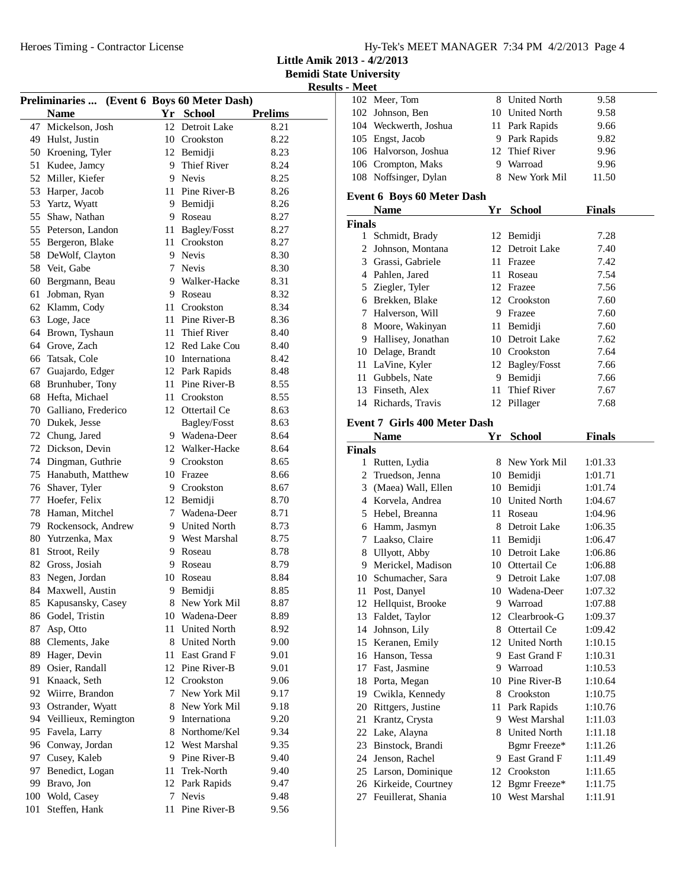**Little Amik 2013 - 4/2/2013**

**Bemidi State University Results - Meet**

|     |                        | Preliminaries  (Event 6 Boys 60 Meter Dash) |                     |                |
|-----|------------------------|---------------------------------------------|---------------------|----------------|
|     | <b>Name</b>            |                                             | Yr School           | <b>Prelims</b> |
| 47  | Mickelson, Josh        | 12                                          | Detroit Lake        | 8.21           |
|     | 49 Hulst, Justin       |                                             | 10 Crookston        | 8.22           |
|     | 50 Kroening, Tyler     |                                             | 12 Bemidji          | 8.23           |
| 51  | Kudee, Jamcy           |                                             | 9 Thief River       | 8.24           |
| 52  | Miller, Kiefer         | 9                                           | <b>Nevis</b>        | 8.25           |
| 53  | Harper, Jacob          | 11                                          | Pine River-B        | 8.26           |
| 53  | Yartz, Wyatt           | 9                                           | Bemidji             | 8.26           |
| 55  | Shaw, Nathan           | 9                                           | Roseau              | 8.27           |
| 55  | Peterson, Landon       | 11                                          | <b>Bagley/Fosst</b> | 8.27           |
| 55  | Bergeron, Blake        |                                             | 11 Crookston        | 8.27           |
| 58  | DeWolf, Clayton        | 9                                           | <b>Nevis</b>        | 8.30           |
| 58  | Veit, Gabe             | 7                                           | <b>Nevis</b>        | 8.30           |
| 60  | Bergmann, Beau         |                                             | 9 Walker-Hacke      | 8.31           |
| 61  | Jobman, Ryan           | 9                                           | Roseau              | 8.32           |
| 62  | Klamm, Cody            | 11                                          | Crookston           | 8.34           |
|     |                        |                                             | Pine River-B        |                |
| 63  | Loge, Jace             | 11                                          |                     | 8.36           |
| 64  | Brown, Tyshaun         | 11                                          | <b>Thief River</b>  | 8.40           |
|     | 64 Grove, Zach         |                                             | 12 Red Lake Cou     | 8.40           |
| 66  | Tatsak, Cole           |                                             | 10 Internationa     | 8.42           |
| 67  | Guajardo, Edger        | 12                                          | Park Rapids         | 8.48           |
| 68  | Brunhuber, Tony        | 11                                          | Pine River-B        | 8.55           |
| 68  | Hefta, Michael         | 11                                          | Crookston           | 8.55           |
|     | 70 Galliano, Frederico |                                             | 12 Ottertail Ce     | 8.63           |
| 70  | Dukek, Jesse           |                                             | Bagley/Fosst        | 8.63           |
| 72  | Chung, Jared           |                                             | 9 Wadena-Deer       | 8.64           |
| 72  | Dickson, Devin         | 12                                          | Walker-Hacke        | 8.64           |
| 74  | Dingman, Guthrie       | 9.                                          | Crookston           | 8.65           |
| 75  | Hanabuth, Matthew      | 10                                          | Frazee              | 8.66           |
| 76  | Shaver, Tyler          |                                             | 9 Crookston         | 8.67           |
| 77  | Hoefer, Felix          |                                             | 12 Bemidji          | 8.70           |
| 78  | Haman, Mitchel         | 7                                           | Wadena-Deer         | 8.71           |
| 79  | Rockensock, Andrew     | 9                                           | <b>United North</b> | 8.73           |
|     | 80 Yutrzenka, Max      | 9                                           | West Marshal        | 8.75           |
| 81  | Stroot, Reily          | 9                                           | Roseau              | 8.78           |
| 82  | Gross, Josiah          | 9                                           | Roseau              | 8.79           |
| 83  | Negen, Jordan          | 10                                          | Roseau              | 8.84           |
| 84  | Maxwell, Austin        | 9                                           | Bemidji             | 8.85           |
| 85  | Kapusansky, Casey      | 8                                           | New York Mil        | 8.87           |
| 86  | Godel, Tristin         | 10                                          | Wadena-Deer         | 8.89           |
| 87  | Asp, Otto              | 11                                          | <b>United North</b> | 8.92           |
| 88  | Clements, Jake         | 8                                           | <b>United North</b> | 9.00           |
| 89  | Hager, Devin           | 11                                          | East Grand F        | 9.01           |
| 89  | Osier, Randall         | 12                                          | Pine River-B        | 9.01           |
| 91  | Knaack, Seth           |                                             | 12 Crookston        | 9.06           |
| 92  | Wiirre, Brandon        | 7                                           | New York Mil        | 9.17           |
| 93  | Ostrander, Wyatt       | 8                                           | New York Mil        | 9.18           |
| 94  | Veillieux, Remington   | 9.                                          | Internationa        | 9.20           |
| 95  | Favela, Larry          | 8                                           | Northome/Kel        | 9.34           |
| 96  | Conway, Jordan         | 12                                          | West Marshal        | 9.35           |
| 97  | Cusey, Kaleb           | 9                                           | Pine River-B        | 9.40           |
| 97  | Benedict, Logan        | 11                                          | Trek-North          | 9.40           |
| 99  | Bravo, Jon             | 12                                          | Park Rapids         | 9.47           |
|     | 100 Wold, Casey        | 7                                           | Nevis               | 9.48           |
| 101 | Steffen, Hank          | 11                                          | Pine River-B        | 9.56           |
|     |                        |                                             |                     |                |

|               | 102 Meer, Tom                                 |      | 8 United North                 | 9.58               |  |
|---------------|-----------------------------------------------|------|--------------------------------|--------------------|--|
|               | 102 Johnson, Ben                              |      | 10 United North                | 9.58               |  |
|               | 104 Weckwerth, Joshua                         |      | 11 Park Rapids                 | 9.66               |  |
|               | 105 Engst, Jacob                              |      | 9 Park Rapids                  | 9.82               |  |
|               | 106 Halvorson, Joshua                         |      | 12 Thief River                 | 9.96               |  |
|               | 106 Crompton, Maks                            |      | 9 Warroad                      | 9.96               |  |
|               | 108 Noffsinger, Dylan                         |      | 8 New York Mil                 | 11.50              |  |
|               | <b>Event 6 Boys 60 Meter Dash</b>             |      |                                |                    |  |
|               | <b>Name</b>                                   |      | Yr School                      | <b>Finals</b>      |  |
| <b>Finals</b> |                                               |      |                                |                    |  |
|               | 1 Schmidt, Brady                              |      | 12 Bemidji                     | 7.28               |  |
|               | 2 Johnson, Montana                            |      | 12 Detroit Lake                | 7.40               |  |
|               | 3 Grassi, Gabriele                            |      | 11 Frazee                      | 7.42               |  |
|               | 4 Pahlen, Jared                               |      | 11 Roseau                      | 7.54               |  |
|               | 5 Ziegler, Tyler                              |      | 12 Frazee                      | 7.56               |  |
|               | 6 Brekken, Blake                              |      | 12 Crookston                   | 7.60               |  |
|               | 7 Halverson, Will                             |      | 9 Frazee                       | 7.60               |  |
|               | 8 Moore, Wakinyan                             |      | 11 Bemidji                     | 7.60               |  |
|               | 9 Hallisey, Jonathan                          |      | 10 Detroit Lake                | 7.62               |  |
|               | 10 Delage, Brandt                             |      | 10 Crookston                   | 7.64               |  |
|               | 11 LaVine, Kyler                              |      | 12 Bagley/Fosst                | 7.66               |  |
|               | 11 Gubbels, Nate                              |      | 9 Bemidji                      | 7.66               |  |
|               | 13 Finseth, Alex                              |      | 11 Thief River                 | 7.67               |  |
|               | 14 Richards, Travis                           |      | 12 Pillager                    | 7.68               |  |
|               |                                               |      |                                |                    |  |
|               | <b>Event 7 Girls 400 Meter Dash</b>           |      |                                |                    |  |
|               | <b>Name</b>                                   |      | Yr School                      | <b>Finals</b>      |  |
| <b>Finals</b> |                                               |      |                                |                    |  |
|               |                                               |      |                                |                    |  |
|               | 1 Rutten, Lydia                               |      | 8 New York Mil                 | 1:01.33            |  |
|               | 2 Truedson, Jenna                             |      | 10 Bemidji                     | 1:01.71            |  |
|               | 3 (Maea) Wall, Ellen                          |      | 10 Bemidji                     | 1:01.74            |  |
|               | 4 Korvela, Andrea                             |      | 10 United North                | 1:04.67            |  |
|               | 5 Hebel, Breanna                              |      | 11 Roseau                      | 1:04.96            |  |
|               | 6 Hamm, Jasmyn                                |      | 8 Detroit Lake                 | 1:06.35            |  |
|               | 7 Laakso, Claire                              |      | 11 Bemidji                     | 1:06.47            |  |
|               | 8 Ullyott, Abby                               |      | 10 Detroit Lake                | 1:06.86            |  |
|               | 9 Merickel, Madison                           |      | 10 Ottertail Ce                | 1:06.88            |  |
|               | 10 Schumacher, Sara                           |      | 9 Detroit Lake                 | 1:07.08            |  |
| 11            | Post, Danyel                                  |      | 10 Wadena-Deer                 | 1:07.32            |  |
|               | 12 Hellquist, Brooke                          |      | 9 Warroad                      | 1:07.88            |  |
| 13            | Faldet, Taylor                                |      | 12 Clearbrook-G                | 1:09.37            |  |
|               | 14 Johnson, Lily                              |      | 8 Ottertail Ce                 | 1:09.42            |  |
|               | 15 Keranen, Emily                             |      | 12 United North                | 1:10.15            |  |
|               | 16 Hanson, Tessa                              |      | 9 East Grand F                 | 1:10.31            |  |
|               | 17 Fast, Jasmine                              |      | 9 Warroad<br>10 Pine River-B   | 1:10.53            |  |
|               | 18 Porta, Megan                               | 8.   | Crookston                      | 1:10.64            |  |
|               | 19 Cwikla, Kennedy                            | 11 - |                                | 1:10.75<br>1:10.76 |  |
|               | 20 Rittgers, Justine                          |      | Park Rapids<br>9 West Marshal  | 1:11.03            |  |
| 21            | Krantz, Crysta                                |      | 8 United North                 | 1:11.18            |  |
|               | 22 Lake, Alayna<br>23 Binstock, Brandi        |      |                                | 1:11.26            |  |
|               |                                               |      | Bgmr Freeze*<br>9 East Grand F | 1:11.49            |  |
|               | 24 Jenson, Rachel                             |      | 12 Crookston                   | 1:11.65            |  |
|               | 25 Larson, Dominique<br>26 Kirkeide, Courtney |      | 12 Bgmr Freeze*                | 1:11.75            |  |
| 27            | Feuillerat, Shania                            |      | 10 West Marshal                | 1:11.91            |  |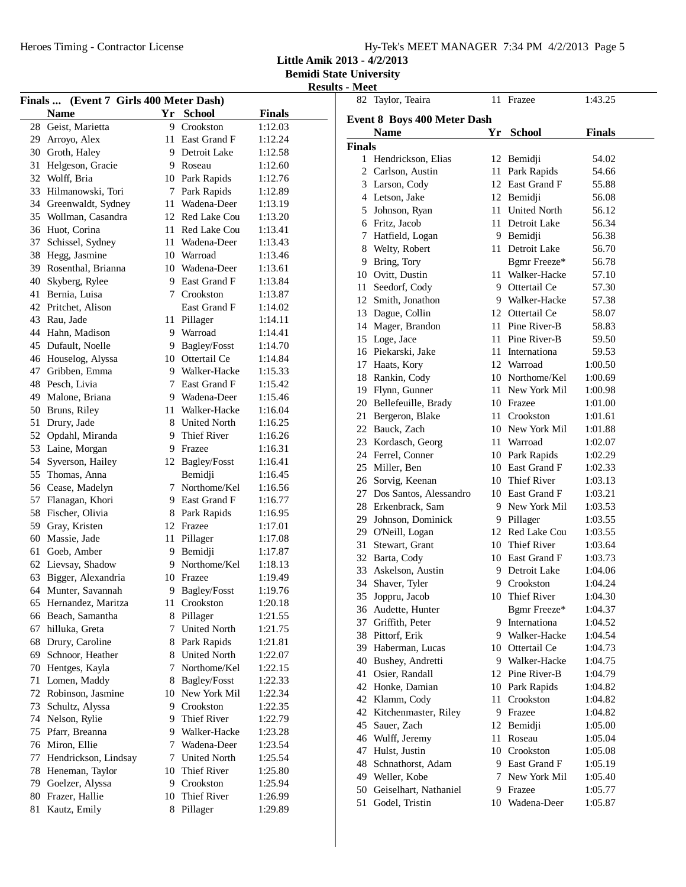**Little Amik 2013 - 4/2/2013**

|    |                                          |    |                            |                    | <b>Results - Meet</b> |
|----|------------------------------------------|----|----------------------------|--------------------|-----------------------|
|    | Finals  (Event 7 Girls 400 Meter Dash)   |    |                            |                    | 82 Tay                |
|    | <b>Name</b>                              |    | Yr School                  | <b>Finals</b>      | Event 8               |
|    | 28 Geist, Marietta                       | 9  | Crookston                  | 1:12.03            | <b>Na</b>             |
|    | 29 Arroyo, Alex                          |    | 11 East Grand F            | 1:12.24            | <b>Finals</b>         |
|    | 30 Groth, Haley                          |    | 9 Detroit Lake             | 1:12.58            | $1$ He                |
|    | 31 Helgeson, Gracie                      |    | 9 Roseau                   | 1:12.60            | $\overline{2}$<br>Ca  |
|    | 32 Wolff, Bria                           |    | 10 Park Rapids             | 1:12.76            | 3                     |
|    | 33 Hilmanowski, Tori                     |    | 7 Park Rapids              | 1:12.89            | Lai<br>4              |
|    | 34 Greenwaldt, Sydney                    |    | 11 Wadena-Deer             | 1:13.19            | Let                   |
|    | 35 Wollman, Casandra                     |    | 12 Red Lake Cou            | 1:13.20            | 5<br>Joh              |
|    | 36 Huot, Corina                          |    | 11 Red Lake Cou            | 1:13.41            | 6<br>Fri              |
|    | 37 Schissel, Sydney                      |    | 11 Wadena-Deer             | 1:13.43            | 7<br>Ha               |
|    | 38 Hegg, Jasmine                         |    | 10 Warroad                 | 1:13.46            | 8<br>We               |
|    | 39 Rosenthal, Brianna                    |    | 10 Wadena-Deer             | 1:13.61            | 9<br>Bri              |
|    | 40 Skyberg, Rylee                        |    | 9 East Grand F             | 1:13.84            | 10 Ov                 |
|    | 41 Bernia, Luisa                         |    | 7 Crookston                | 1:13.87            | 11<br>See             |
|    | 42 Pritchet, Alison                      |    | East Grand F               | 1:14.02            | 12 Sm                 |
|    | 43 Rau, Jade                             |    | 11 Pillager                | 1:14.11            | 13 Da                 |
|    | 44 Hahn, Madison                         |    | 9 Warroad                  | 1:14.41            | 14 Ma                 |
|    | 45 Dufault, Noelle                       |    | 9 Bagley/Fosst             | 1:14.70            | $15$ Log              |
|    | 46 Houselog, Alyssa                      |    | 10 Ottertail Ce            | 1:14.84            | 16 Pie                |
|    | 47 Gribben, Emma                         |    | 9 Walker-Hacke             | 1:15.33            | 17<br>Ha              |
|    | 48 Pesch, Livia                          |    | 7 East Grand F             | 1:15.42            | 18<br>Rai             |
|    | 49 Malone, Briana                        |    | 9 Wadena-Deer              | 1:15.46            | 19 Fly                |
|    | 50 Bruns, Riley                          |    | 11 Walker-Hacke            | 1:16.04            | 20 Bel                |
|    | 51 Drury, Jade                           |    | 8 United North             | 1:16.25            | 21<br>Bei             |
|    | 52 Opdahl, Miranda                       |    | 9 Thief River              | 1:16.26            | 22 Bat                |
|    | 53 Laine, Morgan                         |    | 9 Frazee                   | 1:16.31            | 23 Ko                 |
|    | 54 Syverson, Hailey                      |    | 12 Bagley/Fosst            | 1:16.41            | 24 Fer                |
|    | 55 Thomas, Anna                          |    | Bemidji                    | 1:16.45            | 25<br>Mi              |
|    |                                          |    | 7 Northome/Kel             |                    | 26<br>Sor             |
|    | 56 Cease, Madelyn                        |    | 9 East Grand F             | 1:16.56<br>1:16.77 | 27<br>Do              |
|    | 57 Flanagan, Khori<br>58 Fischer, Olivia |    |                            |                    | 28<br>Erk             |
|    | 59 Gray, Kristen                         |    | 8 Park Rapids<br>12 Frazee | 1:16.95<br>1:17.01 | 29<br>Joh             |
|    |                                          |    | 11 Pillager                | 1:17.08            | 29<br><b>O'N</b>      |
|    | 60 Massie, Jade                          |    |                            |                    | 31<br>Ste             |
|    | 61 Goeb, Amber                           |    | 9 Bemidji                  | 1:17.87            | 32 Bar                |
|    | 62 Lievsay, Shadow                       |    | 9 Northome/Kel             | 1:18.13            | 33 Asl                |
|    | 63 Bigger, Alexandria                    |    | 10 Frazee                  | 1:19.49            | 34 Sha                |
|    | 64 Munter, Savannah                      |    | 9 Bagley/Fosst             | 1:19.76            | 35 Jop                |
|    | 65 Hernandez, Maritza                    |    | 11 Crookston               | 1:20.18            | 36 Au                 |
|    | 66 Beach, Samantha                       |    | 8 Pillager                 | 1:21.55            | 37<br>Gri             |
|    | 67 hilluka, Greta                        | 7  | <b>United North</b>        | 1:21.75            | 38<br>Pit             |
|    | 68 Drury, Caroline                       | 8  | Park Rapids                | 1:21.81            | 39<br>Ha              |
| 69 | Schnoor, Heather                         |    | 8 United North             | 1:22.07            | 40<br>Bu              |
|    | 70 Hentges, Kayla                        | 7  | Northome/Kel               | 1:22.15            | 41<br>Osi             |
| 71 | Lomen, Maddy                             | 8. | Bagley/Fosst               | 1:22.33            | 42<br>Ho              |
| 72 | Robinson, Jasmine                        |    | 10 New York Mil            | 1:22.34            | 42<br>KΙ              |
| 73 | Schultz, Alyssa                          |    | 9 Crookston                | 1:22.35            | 42<br>Kit             |
|    | 74 Nelson, Rylie                         |    | 9 Thief River              | 1:22.79            | 45<br>Sat             |
|    | 75 Pfarr, Breanna                        |    | 9 Walker-Hacke             | 1:23.28            | 46<br>Wu              |
|    | 76 Miron, Ellie                          |    | 7 Wadena-Deer              | 1:23.54            | 47<br>Hu              |
|    | 77 Hendrickson, Lindsay                  |    | 7 United North             | 1:25.54            | 48<br>Sch             |
|    | 78 Heneman, Taylor                       |    | 10 Thief River             | 1:25.80            | 49<br>We              |
|    | 79 Goelzer, Alyssa                       | 9. | Crookston                  | 1:25.94            | 50<br>Ge              |
|    | 80 Frazer, Hallie                        | 10 | Thief River                | 1:26.99            | 51<br>Go              |
|    | 81 Kautz, Emily                          |    | 8 Pillager                 | 1:29.89            |                       |
|    |                                          |    |                            |                    |                       |

|                | 82 Taylor, Teaira          | 11 | Frazee          | 1:43.25       |  |
|----------------|----------------------------|----|-----------------|---------------|--|
|                | vent 8 Boys 400 Meter Dash |    |                 |               |  |
|                | <b>Name</b>                |    | Yr School       | <b>Finals</b> |  |
| nals           |                            |    |                 |               |  |
| 1              | Hendrickson, Elias         | 12 | Bemidji         | 54.02         |  |
| 2              | Carlson, Austin            | 11 | Park Rapids     | 54.66         |  |
| 3              | Larson, Cody               | 12 | East Grand F    | 55.88         |  |
| $\overline{4}$ | Letson, Jake               |    | 12 Bemidji      | 56.08         |  |
| 5              | Johnson, Ryan              |    | 11 United North | 56.12         |  |
| 6              | Fritz, Jacob               |    | 11 Detroit Lake | 56.34         |  |
| 7              | Hatfield, Logan            |    | 9 Bemidji       | 56.38         |  |
| 8              | Welty, Robert              |    | 11 Detroit Lake | 56.70         |  |
| 9              | Bring, Tory                |    | Bgmr Freeze*    | 56.78         |  |
| 10             | Ovitt, Dustin              |    | 11 Walker-Hacke | 57.10         |  |
| 11             | Seedorf, Cody              |    | 9 Ottertail Ce  | 57.30         |  |
| 12             | Smith, Jonathon            |    | 9 Walker-Hacke  | 57.38         |  |
| 13             | Dague, Collin              |    | 12 Ottertail Ce | 58.07         |  |
| 14             | Mager, Brandon             |    | 11 Pine River-B | 58.83         |  |
| 15             | Loge, Jace                 |    | 11 Pine River-B | 59.50         |  |
| 16             | Piekarski, Jake            |    | 11 Internationa | 59.53         |  |
| 17             | Haats, Kory                |    | 12 Warroad      | 1:00.50       |  |
| 18             | Rankin, Cody               |    | 10 Northome/Kel | 1:00.69       |  |
| 19             | Flynn, Gunner              |    | 11 New York Mil | 1:00.98       |  |
| 20             | Bellefeuille, Brady        |    | 10 Frazee       | 1:01.00       |  |
| 21             | Bergeron, Blake            |    | 11 Crookston    | 1:01.61       |  |
| 22             | Bauck, Zach                |    | 10 New York Mil | 1:01.88       |  |
| 23             | Kordasch, Georg            |    | 11 Warroad      | 1:02.07       |  |
| 24             | Ferrel, Conner             |    | 10 Park Rapids  | 1:02.29       |  |
| 25             | Miller, Ben                |    | 10 East Grand F | 1:02.33       |  |
| 26             | Sorvig, Keenan             |    | 10 Thief River  | 1:03.13       |  |
| 27             | Dos Santos, Alessandro     |    | 10 East Grand F | 1:03.21       |  |
| 28             | Erkenbrack, Sam            |    | 9 New York Mil  | 1:03.53       |  |
| 29             | Johnson, Dominick          |    | 9 Pillager      | 1:03.55       |  |
| 29             | O'Neill, Logan             |    | 12 Red Lake Cou | 1:03.55       |  |
| 31             | Stewart, Grant             |    | 10 Thief River  | 1:03.64       |  |
| 32             | Barta, Cody                |    | 10 East Grand F | 1:03.73       |  |
| 33             | Askelson, Austin           |    | 9 Detroit Lake  | 1:04.06       |  |
| 34             | Shaver, Tyler              |    | 9 Crookston     | 1:04.24       |  |
|                | 35 Joppru, Jacob           |    | 10 Thief River  | 1:04.30       |  |
| 36             | Audette, Hunter            |    | Bgmr Freeze*    | 1:04.37       |  |
| 37             | Griffith, Peter            |    | 9 Internationa  | 1:04.52       |  |
| 38             | Pittorf, Erik              |    | 9 Walker-Hacke  | 1:04.54       |  |
| 39             | Haberman, Lucas            |    | 10 Ottertail Ce | 1:04.73       |  |
| 40             | Bushey, Andretti           |    | 9 Walker-Hacke  | 1:04.75       |  |
| 41             | Osier, Randall             |    | 12 Pine River-B | 1:04.79       |  |
| 42             | Honke, Damian              | 10 | Park Rapids     | 1:04.82       |  |
| 42             | Klamm, Cody                | 11 | Crookston       | 1:04.82       |  |
| 42             | Kitchenmaster, Riley       | 9  | Frazee          | 1:04.82       |  |
| 45             | Sauer, Zach                | 12 | Bemidji         | 1:05.00       |  |
| 46             | Wulff, Jeremy              | 11 | Roseau          | 1:05.04       |  |
| 47             | Hulst, Justin              |    | 10 Crookston    | 1:05.08       |  |
| 48             | Schnathorst, Adam          | 9. | East Grand F    | 1:05.19       |  |
| 49             | Weller, Kobe               | 7  | New York Mil    | 1:05.40       |  |
| 50             | Geiselhart, Nathaniel      |    | 9 Frazee        | 1:05.77       |  |
| 51             | Godel, Tristin             | 10 | Wadena-Deer     | 1:05.87       |  |
|                |                            |    |                 |               |  |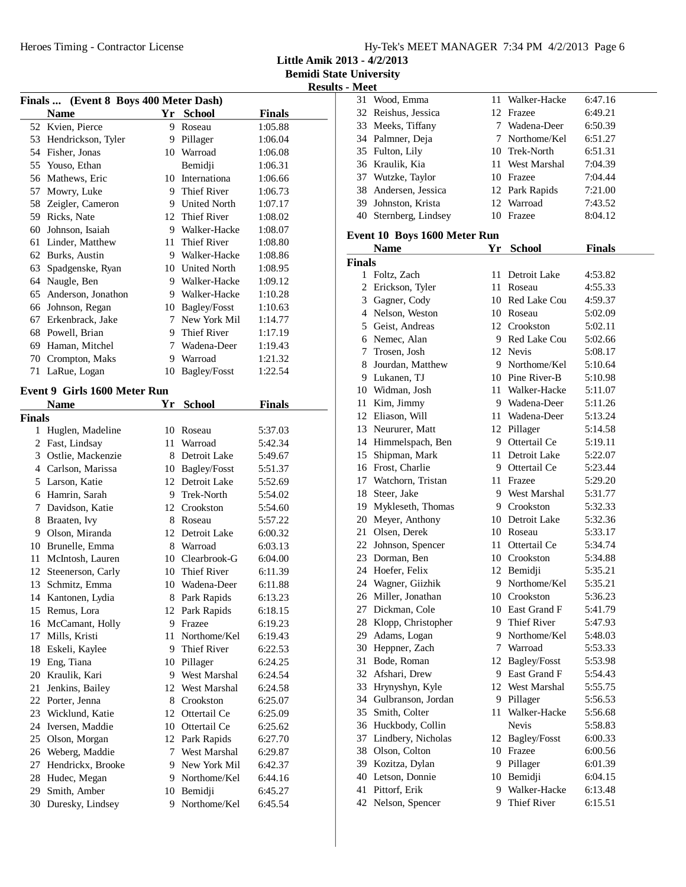**Little Amik 2013 - 4/2/2013**

|  | <b>Results - Meet</b> |  |  |  |
|--|-----------------------|--|--|--|
|--|-----------------------|--|--|--|

| Finals  (Event 8 Boys 400 Meter Dash) |                              |    |                         |               |  |  |
|---------------------------------------|------------------------------|----|-------------------------|---------------|--|--|
|                                       | <b>Name</b>                  | Yr | <b>School</b>           | <b>Finals</b> |  |  |
| 52                                    | Kvien, Pierce                | 9  | Roseau                  | 1:05.88       |  |  |
| 53                                    | Hendrickson, Tyler           |    | 9 Pillager              | 1:06.04       |  |  |
|                                       | 54 Fisher, Jonas             |    | 10 Warroad              | 1:06.08       |  |  |
| 55                                    | Youso, Ethan                 |    | Bemidji                 | 1:06.31       |  |  |
| 56                                    | Mathews, Eric                |    | 10 Internationa         | 1:06.66       |  |  |
| 57                                    | Mowry, Luke                  |    | 9 Thief River           | 1:06.73       |  |  |
| 58                                    | Zeigler, Cameron             |    | 9 United North          | 1:07.17       |  |  |
| 59                                    | Ricks, Nate                  | 12 | <b>Thief River</b>      | 1:08.02       |  |  |
| 60                                    | Johnson, Isaiah              | 9  | Walker-Hacke            | 1:08.07       |  |  |
| 61                                    | Linder, Matthew              | 11 | <b>Thief River</b>      | 1:08.80       |  |  |
| 62                                    | Burks, Austin                | 9  | Walker-Hacke            | 1:08.86       |  |  |
| 63                                    | Spadgenske, Ryan             |    | 10 United North         | 1:08.95       |  |  |
| 64                                    | Naugle, Ben                  | 9. | Walker-Hacke            | 1:09.12       |  |  |
| 65                                    | Anderson, Jonathon           |    | 9 Walker-Hacke          | 1:10.28       |  |  |
| 66                                    | Johnson, Regan               |    | 10 Bagley/Fosst         | 1:10.63       |  |  |
| 67                                    | Erkenbrack, Jake             | 7  | New York Mil            | 1:14.77       |  |  |
| 68                                    | Powell, Brian                | 9  | Thief River             | 1:17.19       |  |  |
| 69                                    | Haman, Mitchel               |    | 7 Wadena-Deer           | 1:19.43       |  |  |
| 70                                    | Crompton, Maks               | 9  |                         |               |  |  |
| 71                                    |                              |    | Warroad<br>Bagley/Fosst | 1:21.32       |  |  |
|                                       | LaRue, Logan                 | 10 |                         | 1:22.54       |  |  |
|                                       | Event 9 Girls 1600 Meter Run |    |                         |               |  |  |
|                                       | <b>Name</b>                  | Yr | <b>School</b>           | <b>Finals</b> |  |  |
| <b>Finals</b>                         |                              |    |                         |               |  |  |
| 1                                     | Huglen, Madeline             | 10 | Roseau                  | 5:37.03       |  |  |
|                                       | 2 Fast, Lindsay              |    | 11 Warroad              | 5:42.34       |  |  |
|                                       | 3 Ostlie, Mackenzie          | 8  | Detroit Lake            | 5:49.67       |  |  |
|                                       | 4 Carlson, Marissa           |    | 10 Bagley/Fosst         | 5:51.37       |  |  |
| 5                                     | Larson, Katie                |    | 12 Detroit Lake         | 5:52.69       |  |  |
|                                       | 6 Hamrin, Sarah              |    | 9 Trek-North            | 5:54.02       |  |  |
| 7                                     | Davidson, Katie              |    | 12 Crookston            | 5:54.60       |  |  |
| 8                                     | Braaten, Ivy                 | 8  | Roseau                  | 5:57.22       |  |  |
| 9                                     | Olson, Miranda               |    | 12 Detroit Lake         | 6:00.32       |  |  |
|                                       | 10 Brunelle, Emma            | 8  | Warroad                 | 6:03.13       |  |  |
| 11                                    | McIntosh, Lauren             |    | 10 Clearbrook-G         | 6:04.00       |  |  |
| 12                                    | Steenerson, Carly            | 10 | <b>Thief River</b>      | 6:11.39       |  |  |
| 13                                    | Schmitz, Emma                | 10 | Wadena-Deer             | 6:11.88       |  |  |
|                                       | 14 Kantonen, Lydia           |    | 8 Park Rapids           | 6:13.23       |  |  |
| 15                                    | Remus, Lora                  | 12 | Park Rapids             | 6:18.15       |  |  |
| 16                                    | McCamant, Holly              | 9  | Frazee                  | 6:19.23       |  |  |
| 17                                    | Mills, Kristi                | 11 | Northome/Kel            | 6:19.43       |  |  |
| 18                                    | Eskeli, Kaylee               | 9  | <b>Thief River</b>      | 6:22.53       |  |  |
| 19                                    | Eng, Tiana                   | 10 | Pillager                | 6:24.25       |  |  |
| 20                                    | Kraulik, Kari                | 9. | West Marshal            | 6:24.54       |  |  |
| 21                                    | Jenkins, Bailey              | 12 | West Marshal            | 6:24.58       |  |  |
| 22                                    | Porter, Jenna                | 8  | Crookston               | 6:25.07       |  |  |
| 23                                    | Wicklund, Katie              | 12 | Ottertail Ce            | 6:25.09       |  |  |
| 24                                    | Iversen, Maddie              | 10 | Ottertail Ce            | 6:25.62       |  |  |
| 25                                    | Olson, Morgan                | 12 | Park Rapids             | 6:27.70       |  |  |
| 26                                    | Weberg, Maddie               | 7  | West Marshal            | 6:29.87       |  |  |
| 27                                    | Hendrickx, Brooke            | 9  | New York Mil            | 6:42.37       |  |  |
| 28                                    | Hudec, Megan                 |    | 9 Northome/Kel          | 6:44.16       |  |  |
| 29                                    | Smith, Amber                 |    | 10 Bemidji              | 6:45.27       |  |  |
| 30                                    | Duresky, Lindsey             | 9  | Northome/Kel            | 6:45.54       |  |  |
|                                       |                              |    |                         |               |  |  |

| 31            | Wood, Emma                   | 11   | Walker-Hacke             | 6:47.16       |  |
|---------------|------------------------------|------|--------------------------|---------------|--|
|               | 32 Reishus, Jessica          |      | 12 Frazee                | 6:49.21       |  |
|               | 33 Meeks, Tiffany            |      | 7 Wadena-Deer            | 6:50.39       |  |
|               | 34 Palmner, Deja             |      | 7 Northome/Kel           | 6:51.27       |  |
|               | 35 Fulton, Lily              |      | 10 Trek-North            | 6:51.31       |  |
|               | 36 Kraulik, Kia              |      | 11 West Marshal          | 7:04.39       |  |
|               | 37 Wutzke, Taylor            |      | 10 Frazee                | 7:04.44       |  |
|               | 38 Andersen, Jessica         |      | 12 Park Rapids           | 7:21.00       |  |
|               | 39 Johnston, Krista          |      | 12 Warroad               | 7:43.52       |  |
|               | 40 Sternberg, Lindsey        |      | 10 Frazee                | 8:04.12       |  |
|               |                              |      |                          |               |  |
|               | Event 10 Boys 1600 Meter Run |      |                          |               |  |
|               | <b>Name</b>                  | Yr   | <b>School</b>            | <b>Finals</b> |  |
| <b>Finals</b> |                              |      |                          |               |  |
| 1             | Foltz, Zach                  | 11   | Detroit Lake             | 4:53.82       |  |
| 2             | Erickson, Tyler              | 11   | Roseau                   | 4:55.33       |  |
|               | 3 Gagner, Cody               |      | 10 Red Lake Cou          | 4:59.37       |  |
|               | 4 Nelson, Weston             |      | 10 Roseau                | 5:02.09       |  |
|               | 5 Geist, Andreas             |      | 12 Crookston             | 5:02.11       |  |
|               | 6 Nemec, Alan                |      | 9 Red Lake Cou           | 5:02.66       |  |
|               | 7 Trosen, Josh               |      | 12 Nevis                 | 5:08.17       |  |
|               | 8 Jourdan, Matthew           |      | 9 Northome/Kel           | 5:10.64       |  |
|               | 9 Lukanen, TJ                |      | 10 Pine River-B          | 5:10.98       |  |
|               | 10 Widman, Josh              |      | 11 Walker-Hacke          | 5:11.07       |  |
|               | 11 Kim, Jimmy                |      | 9 Wadena-Deer            | 5:11.26       |  |
|               | 12 Eliason, Will             | 11 - | Wadena-Deer              | 5:13.24       |  |
|               | 13 Neururer, Matt            |      | 12 Pillager              | 5:14.58       |  |
|               | 14 Himmelspach, Ben          |      | 9 Ottertail Ce           | 5:19.11       |  |
|               | 15 Shipman, Mark             |      | 11 Detroit Lake          | 5:22.07       |  |
|               | 16 Frost, Charlie            |      | 9 Ottertail Ce           | 5:23.44       |  |
|               | 17 Watchorn, Tristan         |      | 11 Frazee                | 5:29.20       |  |
|               | 18 Steer, Jake               |      | 9 West Marshal           | 5:31.77       |  |
|               | 19 Mykleseth, Thomas         |      | 9 Crookston              | 5:32.33       |  |
|               | 20 Meyer, Anthony            |      | 10 Detroit Lake          | 5:32.36       |  |
|               | 21 Olsen, Derek              |      | 10 Roseau                | 5:33.17       |  |
|               | 22 Johnson, Spencer          | 11   | Ottertail Ce             | 5:34.74       |  |
|               | 23 Dorman, Ben               | 10   | Crookston                | 5:34.88       |  |
|               | 24 Hoefer, Felix             | 12   | Bemidji                  | 5:35.21       |  |
|               | 24 Wagner, Giizhik           | 9    | Northome/Kel             | 5:35.21       |  |
|               | 26 Miller, Jonathan          |      | 10 Crookston             | 5:36.23       |  |
|               | 27 Dickman, Cole             |      | 10 East Grand F          | 5:41.79       |  |
|               | 28 Klopp, Christopher        | 9.   | Thief River              | 5:47.93       |  |
|               | 29 Adams, Logan              |      | 9 Northome/Kel           | 5:48.03       |  |
|               | 30 Heppner, Zach             |      | 7 Warroad                | 5:53.33       |  |
| 31            | Bode, Roman                  |      | 12 Bagley/Fosst          | 5:53.98       |  |
|               | 32 Afshari, Drew             |      | 9 East Grand F           | 5:54.43       |  |
| 33            |                              |      | 12 West Marshal          |               |  |
|               | Hrynyshyn, Kyle              |      |                          | 5:55.75       |  |
|               | 34 Gulbranson, Jordan        | 9.   | Pillager<br>Walker-Hacke | 5:56.53       |  |
|               | 35 Smith, Colter             | 11   |                          | 5:56.68       |  |
|               | 36 Huckbody, Collin          |      | <b>Nevis</b>             | 5:58.83       |  |
|               | 37 Lindbery, Nicholas        | 12   | Bagley/Fosst             | 6:00.33       |  |
|               | 38 Olson, Colton             | 10   | Frazee                   | 6:00.56       |  |
|               | 39 Kozitza, Dylan            | 9    | Pillager                 | 6:01.39       |  |
|               | 40 Letson, Donnie            | 10   | Bemidji                  | 6:04.15       |  |
| 41            | Pittorf, Erik                | 9    | Walker-Hacke             | 6:13.48       |  |
|               | 42 Nelson, Spencer           | 9    | Thief River              | 6:15.51       |  |
|               |                              |      |                          |               |  |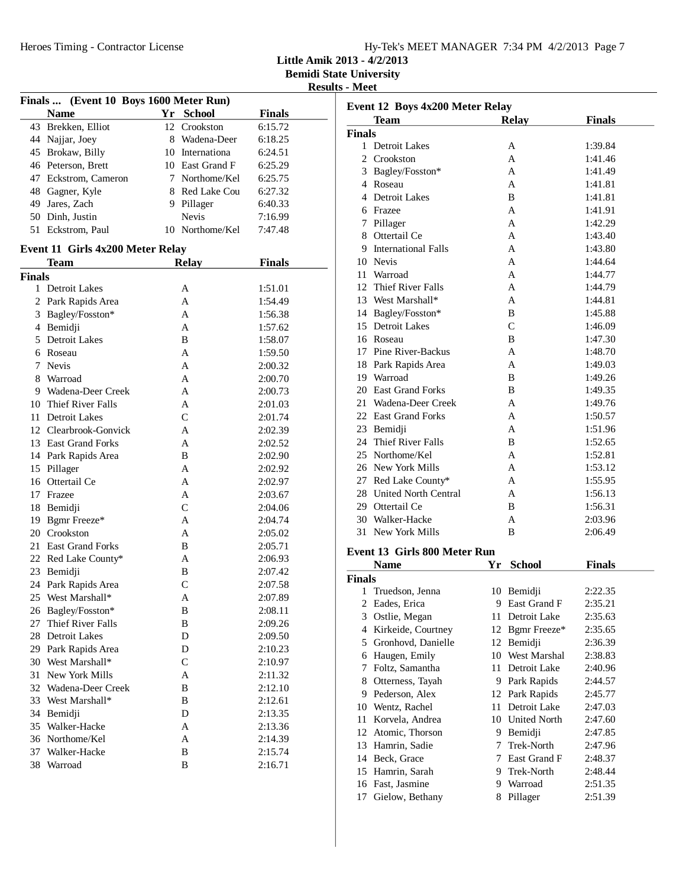Heroes Timing - Contractor License

|  | Hy-Tek's MEET MANAGER 7:34 PM 4/2/2013 Page 7 |  |  |
|--|-----------------------------------------------|--|--|
|  |                                               |  |  |

**Little Amik 2013 - 4/2/2013**

**Bemidi State University**

|               | Finals  (Event 10 Boys 1600 Meter Run) |                     |                    |
|---------------|----------------------------------------|---------------------|--------------------|
|               | <b>Name</b>                            | Yr School           | <b>Finals</b>      |
|               | 43 Brekken, Elliot                     | 12 Crookston        | 6:15.72            |
|               | 44 Najjar, Joey                        | 8 Wadena-Deer       | 6:18.25            |
|               | 45 Brokaw, Billy                       | 10 Internationa     | 6:24.51            |
|               | 46 Peterson, Brett                     | 10 East Grand F     | 6:25.29            |
|               | 47 Eckstrom, Cameron                   | 7 Northome/Kel      | 6:25.75            |
|               | 48 Gagner, Kyle                        | 8 Red Lake Cou      | 6:27.32            |
|               | 49 Jares, Zach                         | 9 Pillager          | 6:40.33            |
|               | 50 Dinh, Justin                        | <b>Nevis</b>        | 7:16.99            |
|               | 51 Eckstrom, Paul                      | 10 Northome/Kel     | 7:47.48            |
|               |                                        |                     |                    |
|               | Event 11 Girls 4x200 Meter Relay       |                     |                    |
|               | <b>Team</b>                            | <b>Relay</b>        | <b>Finals</b>      |
| <b>Finals</b> |                                        |                     |                    |
|               | 1 Detroit Lakes                        | A                   | 1:51.01            |
|               | 2 Park Rapids Area                     | A                   | 1:54.49            |
|               | 3 Bagley/Fosston*                      | A                   | 1:56.38            |
|               | 4 Bemidji                              | A                   | 1:57.62            |
|               | 5 Detroit Lakes                        | B                   | 1:58.07            |
|               | 6 Roseau                               | A                   | 1:59.50            |
|               | 7 Nevis                                | A                   | 2:00.32            |
|               | 8 Warroad                              | A                   | 2:00.70            |
|               | 9 Wadena-Deer Creek                    | A                   | 2:00.73            |
|               | 10 Thief River Falls                   | A                   | 2:01.03            |
|               | 11 Detroit Lakes                       | $\overline{C}$      | 2:01.74            |
|               | 12 Clearbrook-Gonvick                  | A                   | 2:02.39            |
|               | 13 East Grand Forks                    | A                   | 2:02.52            |
|               | 14 Park Rapids Area                    | B                   | 2:02.90            |
| 15            | Pillager                               | A                   | 2:02.92            |
|               | 16 Ottertail Ce                        | A                   | 2:02.97            |
|               | 17 Frazee                              | A                   | 2:03.67            |
|               | 18 Bemidji                             | $\overline{C}$      | 2:04.06            |
|               | 19 Bgmr Freeze*                        | A                   | 2:04.74            |
|               | 20 Crookston                           | A                   | 2:05.02            |
|               | 21 East Grand Forks                    | B                   | 2:05.71            |
|               |                                        | A                   |                    |
|               | 22 Red Lake County*<br>23 Bemidji      |                     | 2:06.93<br>2:07.42 |
|               |                                        | B<br>$\overline{C}$ |                    |
|               | 24 Park Rapids Area                    |                     | 2:07.58            |
|               | 25 West Marshall*                      | A                   | 2:07.89            |
|               | 26 Bagley/Fosston*                     | В                   | 2:08.11            |
| 27            | Thief River Falls                      | B                   | 2:09.26            |
| 28            | <b>Detroit Lakes</b>                   | D                   | 2:09.50            |
|               | 29 Park Rapids Area                    | D                   | 2:10.23            |
|               | 30 West Marshall*                      | $\mathsf{C}$        | 2:10.97            |
| 31            | New York Mills                         | A                   | 2:11.32            |
|               | 32 Wadena-Deer Creek                   | B                   | 2:12.10            |
| 33            | West Marshall*                         | B                   | 2:12.61            |
| 34            | Bemidji                                | D                   | 2:13.35            |
| 35            | Walker-Hacke                           | A                   | 2:13.36            |
| 36            | Northome/Kel                           | A                   | 2:14.39            |
| 37            | Walker-Hacke                           | B                   | 2:15.74            |
| 38            | Warroad                                | B                   | 2:16.71            |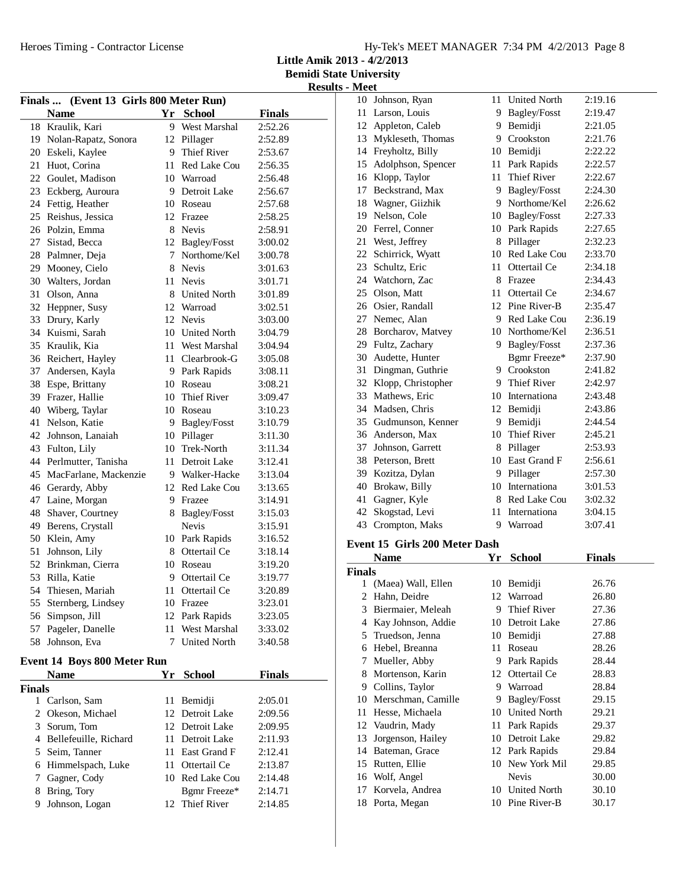**Little Amik 2013 - 4/2/2013**

**Bemidi State University Results - Meet**

| Finals  (Event 13 Girls 800 Meter Run) |                                    |      |                         |                    |  |  |  |
|----------------------------------------|------------------------------------|------|-------------------------|--------------------|--|--|--|
|                                        | <b>Name</b>                        |      | Yr School               | <b>Finals</b>      |  |  |  |
|                                        | 18 Kraulik, Kari                   |      | 9 West Marshal          | 2:52.26            |  |  |  |
|                                        | 19 Nolan-Rapatz, Sonora            |      | 12 Pillager             | 2:52.89            |  |  |  |
| 20                                     | Eskeli, Kaylee                     |      | 9 Thief River           | 2:53.67            |  |  |  |
| 21                                     | Huot, Corina                       |      | 11 Red Lake Cou         | 2:56.35            |  |  |  |
|                                        | 22 Goulet, Madison                 |      | 10 Warroad              | 2:56.48            |  |  |  |
|                                        | 23 Eckberg, Auroura                |      | 9 Detroit Lake          | 2:56.67            |  |  |  |
|                                        | 24 Fettig, Heather                 |      | 10 Roseau               | 2:57.68            |  |  |  |
|                                        | 25 Reishus, Jessica                |      | 12 Frazee               | 2:58.25            |  |  |  |
|                                        | 26 Polzin, Emma                    |      | 8 Nevis                 | 2:58.91            |  |  |  |
| 27                                     | Sistad, Becca                      |      | 12 Bagley/Fosst         | 3:00.02            |  |  |  |
|                                        | 28 Palmner, Deja                   |      | 7 Northome/Kel          | 3:00.78            |  |  |  |
|                                        | 29 Mooney, Cielo                   |      | 8 Nevis                 | 3:01.63            |  |  |  |
| 30                                     | Walters, Jordan                    |      | 11 Nevis                | 3:01.71            |  |  |  |
| 31                                     | Olson, Anna                        |      | 8 United North          | 3:01.89            |  |  |  |
|                                        | 32 Heppner, Susy                   |      | 12 Warroad              | 3:02.51            |  |  |  |
| 33                                     | Drury, Karly                       |      | 12 Nevis                | 3:03.00            |  |  |  |
| 34                                     | Kuismi, Sarah                      |      | 10 United North         | 3:04.79            |  |  |  |
| 35                                     | Kraulik, Kia                       |      | 11 West Marshal         | 3:04.94            |  |  |  |
|                                        | 36 Reichert, Hayley                | 11 - | Clearbrook-G            | 3:05.08            |  |  |  |
| 37                                     | Andersen, Kayla                    |      | 9 Park Rapids           | 3:08.11            |  |  |  |
| 38                                     | Espe, Brittany                     |      | 10 Roseau               | 3:08.21            |  |  |  |
| 39                                     | Frazer, Hallie                     |      | 10 Thief River          | 3:09.47            |  |  |  |
| 40                                     | Wiberg, Taylar                     |      | 10 Roseau               | 3:10.23            |  |  |  |
| 41                                     | Nelson, Katie                      |      | 9 Bagley/Fosst          | 3:10.79            |  |  |  |
| 42                                     | Johnson, Lanaiah                   |      | 10 Pillager             | 3:11.30            |  |  |  |
| 43                                     | Fulton, Lily                       |      | 10 Trek-North           | 3:11.34            |  |  |  |
|                                        | 44 Perlmutter, Tanisha             |      | 11 Detroit Lake         | 3:12.41            |  |  |  |
| 45                                     | MacFarlane, Mackenzie              |      | 9 Walker-Hacke          | 3:13.04            |  |  |  |
|                                        | 46 Gerardy, Abby                   |      | 12 Red Lake Cou         | 3:13.65            |  |  |  |
| 47                                     | Laine, Morgan                      |      | 9 Frazee                | 3:14.91            |  |  |  |
| 48                                     | Shaver, Courtney                   | 8.   | Bagley/Fosst            | 3:15.03            |  |  |  |
| 49                                     | Berens, Crystall                   |      | Nevis                   | 3:15.91            |  |  |  |
|                                        | 50 Klein, Amy                      |      | 10 Park Rapids          | 3:16.52            |  |  |  |
| 51                                     | Johnson, Lily                      |      | 8 Ottertail Ce          | 3:18.14            |  |  |  |
|                                        | 52 Brinkman, Cierra                |      | 10 Roseau               | 3:19.20            |  |  |  |
|                                        | 53 Rilla, Katie                    |      | 9 Ottertail Ce          | 3:19.77            |  |  |  |
| 54                                     | Thiesen, Mariah                    | 11   | Ottertail Ce            | 3:20.89            |  |  |  |
| 55                                     | Sternberg, Lindsey                 |      | 10 Frazee               | 3:23.01            |  |  |  |
| 56                                     | Simpson, Jill                      | 12   | Park Rapids             | 3:23.05            |  |  |  |
| 57                                     | Pageler, Danelle                   | 11   | West Marshal            | 3:33.02            |  |  |  |
| 58                                     | Johnson, Eva                       | 7    | <b>United North</b>     | 3:40.58            |  |  |  |
|                                        | <b>Event 14 Boys 800 Meter Run</b> |      |                         |                    |  |  |  |
|                                        | <b>Name</b>                        | Yr   | <b>School</b>           | <b>Finals</b>      |  |  |  |
|                                        |                                    |      |                         |                    |  |  |  |
| Finals<br>1                            |                                    | 11   |                         | 2:05.01            |  |  |  |
| 2                                      | Carlson, Sam<br>Okeson, Michael    | 12   | Bemidji<br>Detroit Lake |                    |  |  |  |
| 3                                      | Sorum, Tom                         |      | 12 Detroit Lake         | 2:09.56            |  |  |  |
|                                        | 4 Bellefeuille, Richard            | 11   | Detroit Lake            | 2:09.95            |  |  |  |
|                                        |                                    | 11   | East Grand F            | 2:11.93            |  |  |  |
| 5.                                     | Seim, Tanner                       | 11   | Ottertail Ce            | 2:12.41            |  |  |  |
| 6<br>7                                 | Himmelspach, Luke                  |      | 10 Red Lake Cou         | 2:13.87            |  |  |  |
| 8                                      | Gagner, Cody<br>Bring, Tory        |      | Bgmr Freeze*            | 2:14.48            |  |  |  |
| 9                                      | Johnson, Logan                     |      | 12 Thief River          | 2:14.71<br>2:14.85 |  |  |  |
|                                        |                                    |      |                         |                    |  |  |  |
|                                        |                                    |      |                         |                    |  |  |  |

|               | 10 Johnson, Ryan              | 11 | <b>United North</b> | 2:19.16       |  |
|---------------|-------------------------------|----|---------------------|---------------|--|
|               | 11 Larson, Louis              |    | 9 Bagley/Fosst      | 2:19.47       |  |
|               | 12 Appleton, Caleb            |    | 9 Bemidji           | 2:21.05       |  |
|               | 13 Mykleseth, Thomas          |    | 9 Crookston         | 2:21.76       |  |
|               | 14 Freyholtz, Billy           |    | 10 Bemidji          | 2:22.22       |  |
|               | 15 Adolphson, Spencer         | 11 | Park Rapids         | 2:22.57       |  |
|               | 16 Klopp, Taylor              | 11 | Thief River         | 2:22.67       |  |
|               | 17 Beckstrand, Max            |    | 9 Bagley/Fosst      | 2:24.30       |  |
|               | 18 Wagner, Giizhik            |    | 9 Northome/Kel      | 2:26.62       |  |
|               | 19 Nelson, Cole               |    | 10 Bagley/Fosst     | 2:27.33       |  |
|               | 20 Ferrel, Conner             |    | 10 Park Rapids      | 2:27.65       |  |
|               | 21 West, Jeffrey              |    | 8 Pillager          | 2:32.23       |  |
|               | 22 Schirrick, Wyatt           |    | 10 Red Lake Cou     | 2:33.70       |  |
|               | 23 Schultz, Eric              | 11 | Ottertail Ce        | 2:34.18       |  |
|               | 24 Watchorn, Zac              |    | 8 Frazee            | 2:34.43       |  |
|               | 25 Olson, Matt                | 11 | Ottertail Ce        | 2:34.67       |  |
|               | 26 Osier, Randall             |    | 12 Pine River-B     | 2:35.47       |  |
|               | 27 Nemec, Alan                |    | 9 Red Lake Cou      | 2:36.19       |  |
|               | 28 Borcharov, Matvey          |    | 10 Northome/Kel     | 2:36.51       |  |
|               | 29 Fultz, Zachary             |    | 9 Bagley/Fosst      | 2:37.36       |  |
|               | 30 Audette, Hunter            |    | Bgmr Freeze*        | 2:37.90       |  |
|               | 31 Dingman, Guthrie           |    | 9 Crookston         | 2:41.82       |  |
|               | 32 Klopp, Christopher         |    | 9 Thief River       | 2:42.97       |  |
|               | 33 Mathews, Eric              |    | 10 Internationa     | 2:43.48       |  |
|               | 34 Madsen, Chris              |    | 12 Bemidji          | 2:43.86       |  |
|               | 35 Gudmunson, Kenner          |    | 9 Bemidji           | 2:44.54       |  |
|               | 36 Anderson, Max              | 10 | Thief River         | 2:45.21       |  |
|               | 37 Johnson, Garrett           |    | 8 Pillager          | 2:53.93       |  |
|               | 38 Peterson, Brett            |    | 10 East Grand F     | 2:56.61       |  |
|               | 39 Kozitza, Dylan             |    | 9 Pillager          | 2:57.30       |  |
|               | 40 Brokaw, Billy              |    | 10 Internationa     | 3:01.53       |  |
|               | 41 Gagner, Kyle               |    | 8 Red Lake Cou      | 3:02.32       |  |
|               | 42 Skogstad, Levi             | 11 | Internationa        | 3:04.15       |  |
|               | 43 Crompton, Maks             |    | 9 Warroad           | 3:07.41       |  |
|               | Event 15 Girls 200 Meter Dash |    |                     |               |  |
|               | <b>Name</b>                   |    | Yr School           | <b>Finals</b> |  |
| <b>Finals</b> |                               |    |                     |               |  |
|               | 1 (Maea) Wall, Ellen          |    | 10 Bemidji          | 26.76         |  |
|               | 2 Hahn, Deidre                |    | 12 Warroad          | 26.80         |  |
| 3             | Biermaier, Meleah             | 9. | Thief River         | 27.36         |  |
| 4             | Kay Johnson, Addie            | 10 | Detroit Lake        | 27.86         |  |
| 5             | Truedson, Jenna               | 10 | Bemidji             | 27.88         |  |
| 6             | Hebel, Breanna                | 11 | Roseau              | 28.26         |  |
| 7             | Mueller, Abby                 | 9  | Park Rapids         | 28.44         |  |
| 8             | Mortenson, Karin              | 12 | Ottertail Ce        | 28.83         |  |
| 9             | Collins, Taylor               | 9  | Warroad             | 28.84         |  |

10 Merschman, Camille 9 Bagley/Fosst 29.15 11 Hesse, Michaela 10 United North 29.21 12 Vaudrin, Mady 11 Park Rapids 29.37 13 Jorgenson, Hailey 10 Detroit Lake 29.82 14 Bateman, Grace 12 Park Rapids 29.84 15 Rutten, Ellie 10 New York Mil 29.85 16 Wolf, Angel Nevis Nevis 30.00 17 Korvela, Andrea 10 United North 30.10 18 Porta, Megan 10 Pine River-B 30.17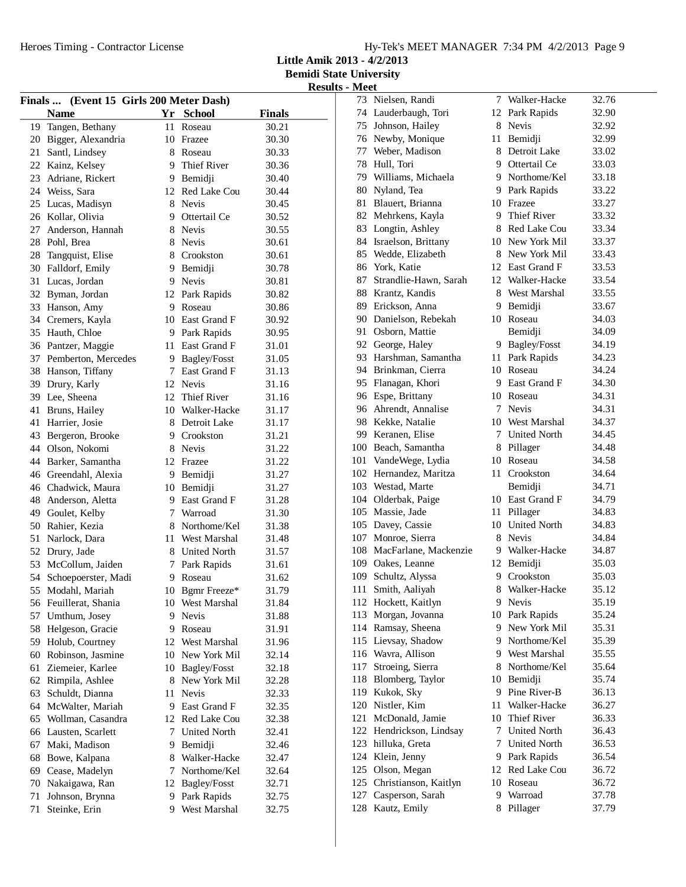**Little Amik 2013 - 4/2/2013**

**Bemidi State University Results - Meet** 

|          | Finals  (Event 15 Girls 200 Meter Dash) |    |                     |               |
|----------|-----------------------------------------|----|---------------------|---------------|
|          | <b>Name</b>                             |    | Yr School           | <b>Finals</b> |
|          | 19 Tangen, Bethany                      |    | 11 Roseau           | 30.21         |
|          | 20 Bigger, Alexandria                   |    | 10 Frazee           | 30.30         |
| 21       | Santl, Lindsey                          |    | 8 Roseau            | 30.33         |
|          | 22 Kainz, Kelsey                        |    | 9 Thief River       | 30.36         |
|          | 23 Adriane, Rickert                     |    | 9 Bemidji           | 30.40         |
|          | 24 Weiss, Sara                          |    | 12 Red Lake Cou     | 30.44         |
|          | 25 Lucas, Madisyn                       |    | 8 Nevis             | 30.45         |
|          | 26 Kollar, Olivia                       |    | 9 Ottertail Ce      | 30.52         |
|          | 27 Anderson, Hannah                     |    | 8 Nevis             | 30.55         |
|          | 28 Pohl, Brea                           |    | 8 Nevis             | 30.61         |
|          | 28 Tangquist, Elise                     |    | 8 Crookston         | 30.61         |
|          | 30 Falldorf, Emily                      |    | 9 Bemidji           | 30.78         |
|          | 31 Lucas, Jordan                        |    | 9 Nevis             | 30.81         |
|          | 32 Byman, Jordan                        |    | 12 Park Rapids      | 30.82         |
|          | 33 Hanson, Amy                          |    | 9 Roseau            | 30.86         |
|          | 34 Cremers, Kayla                       |    | 10 East Grand F     | 30.92         |
|          | 35 Hauth, Chloe                         |    | 9 Park Rapids       | 30.95         |
|          | 36 Pantzer, Maggie                      |    | 11 East Grand F     | 31.01         |
|          | 37 Pemberton, Mercedes                  |    | 9 Bagley/Fosst      | 31.05         |
|          | 38 Hanson, Tiffany                      |    | 7 East Grand F      | 31.13         |
|          | 39 Drury, Karly                         |    | 12 Nevis            | 31.16         |
|          | 39 Lee, Sheena                          |    | 12 Thief River      | 31.16         |
|          | 41 Bruns, Hailey                        |    | 10 Walker-Hacke     | 31.17         |
|          | 41 Harrier, Josie                       |    | 8 Detroit Lake      | 31.17         |
|          | 43 Bergeron, Brooke                     |    | 9 Crookston         | 31.21         |
|          | 44 Olson, Nokomi                        |    | 8 Nevis             | 31.22         |
|          |                                         |    |                     |               |
|          | 44 Barker, Samantha                     |    | 12 Frazee           | 31.22         |
|          | 46 Greendahl, Alexia                    |    | 9 Bemidji           | 31.27         |
|          | 46 Chadwick, Maura                      |    | 10 Bemidji          | 31.27         |
|          | 48 Anderson, Aletta                     |    | 9 East Grand F      | 31.28         |
|          | 49 Goulet, Kelby                        |    | 7 Warroad           | 31.30         |
|          | 50 Rahier, Kezia                        |    | 8 Northome/Kel      | 31.38         |
|          | 51 Narlock, Dara                        |    | 11 West Marshal     | 31.48         |
|          | 52 Drury, Jade                          |    | 8 United North      | 31.57         |
|          | 53 McCollum, Jaiden                     |    | 7 Park Rapids       | 31.61         |
|          | 54 Schoepoerster, Madi                  |    | 9 Roseau            | 31.62         |
|          | 55 Modahl, Mariah                       | 10 | Bgmr Freeze*        | 31.79         |
|          | 56 Feuillerat, Shania                   | 10 | West Marshal        | 31.84         |
| 57       | Umthum, Josey                           | 9  | Nevis               | 31.88         |
| 58       | Helgeson, Gracie                        | 9  | Roseau              | 31.91         |
| 59       | Holub, Courtney                         | 12 | West Marshal        | 31.96         |
|          | 60 Robinson, Jasmine                    |    | 10 New York Mil     | 32.14         |
| 61       | Ziemeier, Karlee                        |    | 10 Bagley/Fosst     | 32.18         |
|          | 62 Rimpila, Ashlee                      |    | 8 New York Mil      | 32.28         |
| 63       | Schuldt, Dianna                         | 11 | <b>Nevis</b>        | 32.33         |
|          | 64 McWalter, Mariah                     |    | 9 East Grand F      | 32.35         |
| 65       | Wollman, Casandra                       |    | 12 Red Lake Cou     | 32.38         |
|          | 66 Lausten, Scarlett                    | 7  | <b>United North</b> | 32.41         |
| 67       | Maki, Madison                           | 9  | Bemidji             | 32.46         |
| 68       | Bowe, Kalpana                           | 8  | Walker-Hacke        | 32.47         |
| 69       | Cease, Madelyn                          | 7  | Northome/Kel        | 32.64         |
|          | Nakaigawa, Ran                          | 12 | Bagley/Fosst        | 32.71         |
|          |                                         |    |                     |               |
| 70<br>71 | Johnson, Brynna                         | 9. | Park Rapids         | 32.75         |

| 73  | Nielsen, Randi            | 7    | Walker-Hacke        | 32.76 |
|-----|---------------------------|------|---------------------|-------|
|     | 74 Lauderbaugh, Tori      | 12   | Park Rapids         | 32.90 |
|     | 75 Johnson, Hailey        | 8    | <b>Nevis</b>        | 32.92 |
|     | 76 Newby, Monique         | 11   | Bemidji             | 32.99 |
|     | 77 Weber, Madison         | 8    | Detroit Lake        | 33.02 |
|     | 78 Hull, Tori             |      | 9 Ottertail Ce      | 33.03 |
|     | 79 Williams, Michaela     |      | 9 Northome/Kel      | 33.18 |
|     | 80 Nyland, Tea            |      | 9 Park Rapids       | 33.22 |
|     | 81 Blauert, Brianna       |      | 10 Frazee           | 33.27 |
|     | 82 Mehrkens, Kayla        |      | 9 Thief River       | 33.32 |
|     | 83 Longtin, Ashley        |      | 8 Red Lake Cou      | 33.34 |
|     | 84 Israelson, Brittany    |      | 10 New York Mil     | 33.37 |
|     | 85 Wedde, Elizabeth       |      | 8 New York Mil      | 33.43 |
|     | 86 York, Katie            |      | 12 East Grand F     | 33.53 |
| 87  | Strandlie-Hawn, Sarah     |      | 12 Walker-Hacke     | 33.54 |
|     | 88 Krantz, Kandis         | 8    | West Marshal        | 33.55 |
|     | 89 Erickson, Anna         | 9.   | Bemidji             | 33.67 |
|     | 90 Danielson, Rebekah     | 10   | Roseau              | 34.03 |
| 91  | Osborn, Mattie            |      | Bemidji             | 34.09 |
|     | 92 George, Haley          | 9.   | Bagley/Fosst        | 34.19 |
|     | 93 Harshman, Samantha     |      | 11 Park Rapids      | 34.23 |
|     | 94 Brinkman, Cierra       |      | 10 Roseau           | 34.24 |
|     | 95 Flanagan, Khori        |      | 9 East Grand F      | 34.30 |
|     | 96 Espe, Brittany         |      | 10 Roseau           | 34.31 |
|     | 96 Ahrendt, Annalise      |      | 7 Nevis             | 34.31 |
|     | 98 Kekke, Natalie         |      | 10 West Marshal     | 34.37 |
|     | 99 Keranen, Elise         |      | 7 United North      | 34.45 |
|     | 100 Beach, Samantha       | 8    | Pillager            | 34.48 |
| 101 | VandeWege, Lydia          |      | 10 Roseau           | 34.58 |
|     | 102 Hernandez, Maritza    | 11 - | Crookston           | 34.64 |
|     | 103 Westad, Marte         |      | Bemidji             | 34.71 |
|     | 104 Olderbak, Paige       |      | 10 East Grand F     | 34.79 |
|     | 105 Massie, Jade          |      | 11 Pillager         | 34.83 |
|     | 105 Davey, Cassie         |      | 10 United North     | 34.83 |
|     | 107 Monroe, Sierra        |      | 8 Nevis             | 34.84 |
|     | 108 MacFarlane, Mackenzie |      | 9 Walker-Hacke      | 34.87 |
| 109 | Oakes, Leanne             |      | 12 Bemidji          | 35.03 |
| 109 | Schultz, Alyssa           | 9.   | Crookston           | 35.03 |
| 111 | Smith, Aaliyah            | 8    | Walker-Hacke        | 35.12 |
| 112 | Hockett, Kaitlyn          | 9    | Nevis               | 35.19 |
| 113 | Morgan, Jovanna           | 10   | Park Rapids         | 35.24 |
| 114 | Ramsay, Sheena            | 9.   | New York Mil        | 35.31 |
| 115 | Lievsay, Shadow           |      | 9 Northome/Kel      | 35.39 |
| 116 | Wavra, Allison            |      | 9 West Marshal      | 35.55 |
| 117 | Stroeing, Sierra          | 8    | Northome/Kel        | 35.64 |
| 118 | Blomberg, Taylor          | 10   | Bemidji             | 35.74 |
| 119 | Kukok, Sky                | 9.   | Pine River-B        | 36.13 |
| 120 | Nistler, Kim              | 11   | Walker-Hacke        | 36.27 |
| 121 | McDonald, Jamie           | 10   | Thief River         | 36.33 |
| 122 | Hendrickson, Lindsay      | 7    | <b>United North</b> | 36.43 |
| 123 | hilluka, Greta            | 7    | <b>United North</b> | 36.53 |
| 124 | Klein, Jenny              | 9    | Park Rapids         | 36.54 |
| 125 | Olson, Megan              | 12   | Red Lake Cou        | 36.72 |
| 125 | Christianson, Kaitlyn     | 10   | Roseau              | 36.72 |
| 127 | Casperson, Sarah          | 9    | Warroad             | 37.78 |
| 128 | Kautz, Emily              | 8    | Pillager            | 37.79 |
|     |                           |      |                     |       |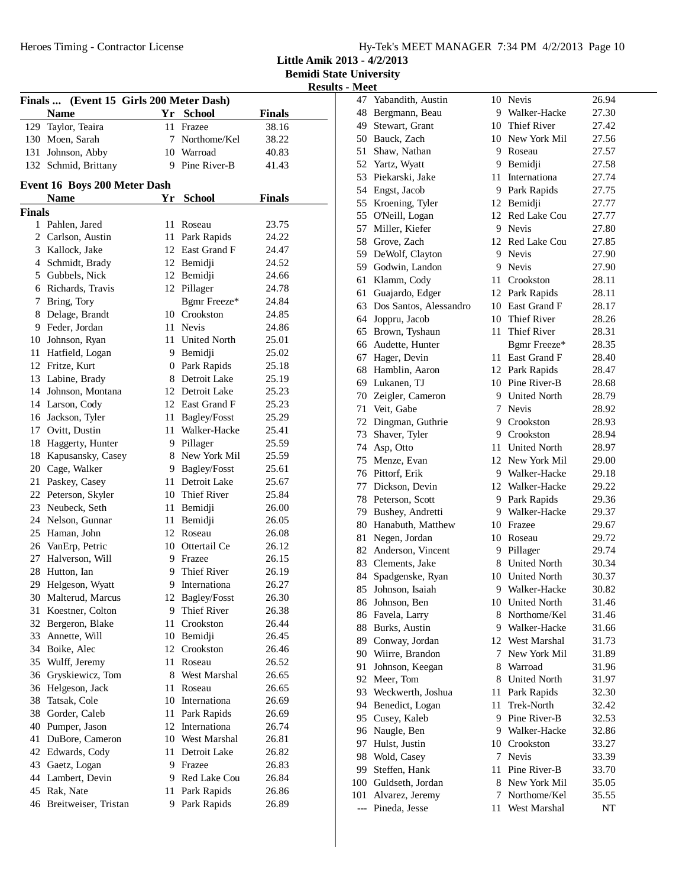Heroes Timing - Contractor License

**Little Amik 2013 - 4/2/2013**

**Bemidi State University**

| <b>Results - Meet</b> |  |  |
|-----------------------|--|--|
|                       |  |  |

|        |                                         |      |                    |               | Kesu |
|--------|-----------------------------------------|------|--------------------|---------------|------|
|        | Finals  (Event 15 Girls 200 Meter Dash) |      |                    |               |      |
|        | <b>Name</b>                             | Yr   | <b>School</b>      | <b>Finals</b> |      |
|        | 129 Taylor, Teaira                      | 11 - | Frazee             | 38.16         |      |
|        | 130 Moen, Sarah                         |      | 7 Northome/Kel     | 38.22         |      |
|        | 131 Johnson, Abby                       |      | 10 Warroad         | 40.83         |      |
|        | 132 Schmid, Brittany                    |      | 9 Pine River-B     | 41.43         |      |
|        | Event 16 Boys 200 Meter Dash            |      |                    |               |      |
|        | <b>Name</b>                             | Yr   | <b>School</b>      | <b>Finals</b> |      |
| Finals |                                         |      |                    |               |      |
|        | 1 Pahlen, Jared                         | 11   | Roseau             | 23.75         |      |
|        | 2 Carlson, Austin                       |      | 11 Park Rapids     | 24.22         |      |
|        | 3 Kallock, Jake                         |      | 12 East Grand F    | 24.47         |      |
|        | 4 Schmidt, Brady                        |      | 12 Bemidji         | 24.52         |      |
|        | 5 Gubbels, Nick                         |      | 12 Bemidji         | 24.66         |      |
|        | 6 Richards, Travis                      |      | 12 Pillager        | 24.78         |      |
| 7      | Bring, Tory                             |      | Bgmr Freeze*       | 24.84         |      |
| 8      | Delage, Brandt                          |      | 10 Crookston       | 24.85         |      |
|        | 9 Feder, Jordan                         |      | 11 Nevis           | 24.86         |      |
|        | 10 Johnson, Ryan                        |      | 11 United North    | 25.01         |      |
| 11     | Hatfield, Logan                         |      | 9 Bemidji          | 25.02         |      |
|        | 12 Fritze, Kurt                         |      | 0 Park Rapids      | 25.18         |      |
|        | 13 Labine, Brady                        |      | 8 Detroit Lake     | 25.19         |      |
| 14     | Johnson, Montana                        |      | 12 Detroit Lake    | 25.23         |      |
|        | 14 Larson, Cody                         |      | 12 East Grand F    | 25.23         |      |
| 16     | Jackson, Tyler                          | 11   | Bagley/Fosst       | 25.29         |      |
| 17     | Ovitt, Dustin                           | 11   | Walker-Hacke       | 25.41         |      |
| 18     | Haggerty, Hunter                        |      | 9 Pillager         | 25.59         |      |
| 18     | Kapusansky, Casey                       |      | 8 New York Mil     | 25.59         |      |
| 20     | Cage, Walker                            |      | 9 Bagley/Fosst     | 25.61         |      |
| 21     | Paskey, Casey                           |      | 11 Detroit Lake    | 25.67         |      |
|        | 22 Peterson, Skyler                     |      | 10 Thief River     | 25.84         |      |
|        | 23 Neubeck, Seth                        |      | 11 Bemidji         | 26.00         |      |
|        | 24 Nelson, Gunnar                       | 11   | Bemidji            | 26.05         |      |
|        | 25 Haman, John                          |      | 12 Roseau          | 26.08         |      |
|        | 26 VanErp, Petric                       |      | 10 Ottertail Ce    | 26.12         |      |
| 27     | Halverson, Will                         |      | 9 Frazee           | 26.15         |      |
| 28     | Hutton, Ian                             | 9.   | <b>Thief River</b> | 26.19         |      |
| 29     | Helgeson, Wyatt                         | 9    | Internationa       | 26.27         |      |
| 30     | Malterud, Marcus                        | 12   | Bagley/Fosst       | 26.30         |      |
| 31     | Koestner, Colton                        | 9    | Thief River        | 26.38         |      |
| 32     | Bergeron, Blake                         | 11   | Crookston          | 26.44         |      |
| 33     | Annette, Will                           | 10   | Bemidji            | 26.45         |      |
| 34     | Boike, Alec                             | 12   | Crookston          | 26.46         |      |
| 35     | Wulff, Jeremy                           | 11   | Roseau             | 26.52         |      |
| 36     | Gryskiewicz, Tom                        |      | 8 West Marshal     | 26.65         |      |
| 36     | Helgeson, Jack                          | 11   | Roseau             | 26.65         |      |
| 38     | Tatsak, Cole                            |      | 10 Internationa    | 26.69         |      |
| 38     | Gorder, Caleb                           | 11   | Park Rapids        | 26.69         |      |
| 40     | Pumper, Jason                           |      | 12 Internationa    | 26.74         |      |
| 41     | DuBore, Cameron                         |      | 10 West Marshal    | 26.81         |      |
| 42     | Edwards, Cody                           | 11   | Detroit Lake       | 26.82         |      |
| 43     | Gaetz, Logan                            |      | 9 Frazee           | 26.83         |      |
| 44     | Lambert, Devin                          |      | 9 Red Lake Cou     | 26.84         |      |
| 45     | Rak, Nate                               | 11   | Park Rapids        | 26.86         |      |
| 46     | Breitweiser, Tristan                    | 9    | Park Rapids        | 26.89         |      |
|        |                                         |      |                    |               |      |

| 47    | Yabandith, Austin      | 10   | Nevis                             | 26.94 |
|-------|------------------------|------|-----------------------------------|-------|
|       | 48 Bergmann, Beau      |      | 9 Walker-Hacke                    | 27.30 |
|       | 49 Stewart, Grant      |      | 10 Thief River                    | 27.42 |
|       | 50 Bauck, Zach         |      | 10 New York Mil                   | 27.56 |
| 51    | Shaw, Nathan           |      | 9 Roseau                          | 27.57 |
|       | 52 Yartz, Wyatt        |      | 9 Bemidji                         | 27.58 |
|       | 53 Piekarski, Jake     |      | 11 Internationa                   | 27.74 |
|       | 54 Engst, Jacob        | 9    | Park Rapids                       | 27.75 |
| 55    | Kroening, Tyler        | 12   | Bemidji                           | 27.77 |
| 55    | O'Neill, Logan         | 12   | Red Lake Cou                      | 27.77 |
| 57    | Miller, Kiefer         |      | 9 Nevis                           | 27.80 |
|       | 58 Grove, Zach         | 12   | Red Lake Cou                      | 27.85 |
|       | 59 DeWolf, Clayton     |      | 9 Nevis                           | 27.90 |
|       | 59 Godwin, Landon      |      | 9 Nevis                           | 27.90 |
| 61    | Klamm, Cody            | 11 - | Crookston                         | 28.11 |
| 61    |                        |      | 12 Park Rapids                    |       |
|       | Guajardo, Edger        |      |                                   | 28.11 |
| 63    | Dos Santos, Alessandro |      | 10 East Grand F<br>10 Thief River | 28.17 |
|       | 64 Joppru, Jacob       |      |                                   | 28.26 |
| 65    | Brown, Tyshaun         | 11.  | Thief River                       | 28.31 |
|       | 66 Audette, Hunter     |      | Bgmr Freeze*                      | 28.35 |
| 67    | Hager, Devin           | 11-  | East Grand F                      | 28.40 |
|       | 68 Hamblin, Aaron      | 12   | Park Rapids                       | 28.47 |
|       | 69 Lukanen, TJ         |      | 10 Pine River-B                   | 28.68 |
|       | 70 Zeigler, Cameron    | 9.   | <b>United North</b>               | 28.79 |
| 71    | Veit, Gabe             | 7    | <b>Nevis</b>                      | 28.92 |
|       | 72 Dingman, Guthrie    |      | 9 Crookston                       | 28.93 |
|       | 73 Shaver, Tyler       |      | 9 Crookston                       | 28.94 |
|       | 74 Asp, Otto           | 11 - | <b>United North</b>               | 28.97 |
| 75    | Menze, Evan            |      | 12 New York Mil                   | 29.00 |
|       | 76 Pittorf, Erik       |      | 9 Walker-Hacke                    | 29.18 |
|       | 77 Dickson, Devin      |      | 12 Walker-Hacke                   | 29.22 |
|       | 78 Peterson, Scott     | 9    | Park Rapids                       | 29.36 |
| 79    | Bushey, Andretti       |      | 9 Walker-Hacke                    | 29.37 |
|       | 80 Hanabuth, Matthew   |      | 10 Frazee                         | 29.67 |
| 81    | Negen, Jordan          |      | 10 Roseau                         | 29.72 |
|       | 82 Anderson, Vincent   |      | 9 Pillager                        | 29.74 |
|       | 83 Clements, Jake      |      | 8 United North                    | 30.34 |
| 84    | Spadgenske, Ryan       |      | 10 United North                   | 30.37 |
| 85    | Johnson, Isaiah        | 9    | Walker-Hacke                      | 30.82 |
|       | 86 Johnson, Ben        |      | 10 United North                   | 31.46 |
|       | 86 Favela, Larry       | 8    | Northome/Kel                      | 31.46 |
| 88    | Burks, Austin          | 9.   | Walker-Hacke                      | 31.66 |
| 89    | Conway, Jordan         |      | 12 West Marshal                   | 31.73 |
| 90    | Wiirre, Brandon        | 7    | New York Mil                      | 31.89 |
| 91    | Johnson, Keegan        | 8    | Warroad                           | 31.96 |
| 92    | Meer, Tom              | 8    | <b>United North</b>               | 31.97 |
| 93    | Weckwerth, Joshua      | 11   | Park Rapids                       | 32.30 |
| 94    | Benedict, Logan        | 11   | <b>Trek-North</b>                 | 32.42 |
| 95    | Cusey, Kaleb           | 9    | Pine River-B                      | 32.53 |
| 96    | Naugle, Ben            |      | 9 Walker-Hacke                    | 32.86 |
| 97    | Hulst, Justin          |      | 10 Crookston                      | 33.27 |
| 98    | Wold, Casey            | 7    | Nevis                             | 33.39 |
| 99    | Steffen, Hank          | 11.  | Pine River-B                      | 33.70 |
| 100   | Guldseth, Jordan       |      | 8 New York Mil                    | 35.05 |
| 101   | Alvarez, Jeremy        | 7    | Northome/Kel                      | 35.55 |
| $---$ | Pineda, Jesse          | 11   | West Marshal                      | NT    |
|       |                        |      |                                   |       |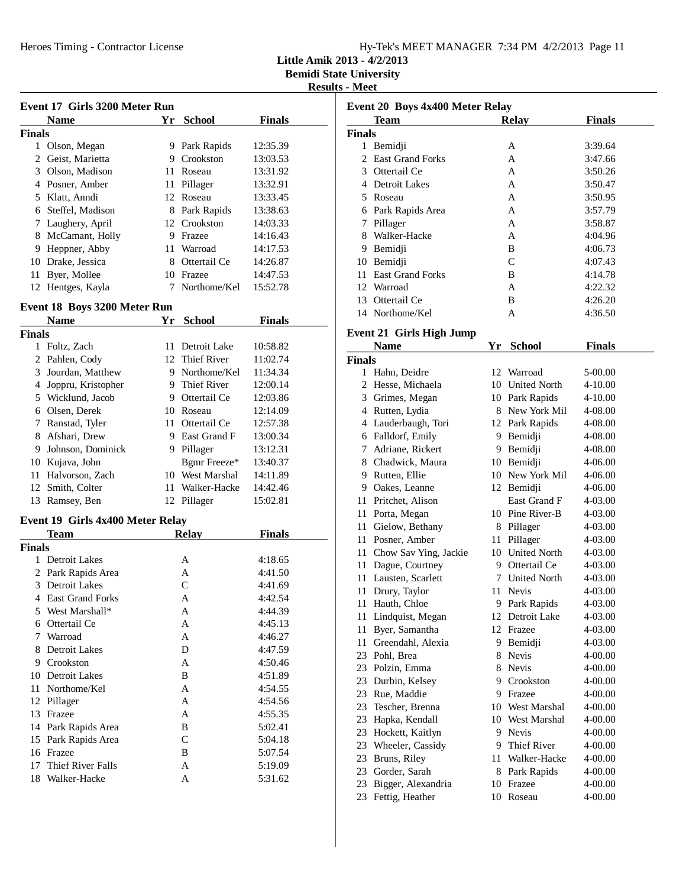**Little Amik 2013 - 4/2/2013**

## **Results - Meet**

|               |                                  |      |                 |               | resu |
|---------------|----------------------------------|------|-----------------|---------------|------|
|               | Event 17 Girls 3200 Meter Run    |      |                 |               |      |
|               | <b>Name</b>                      | Yr   | <b>School</b>   | <b>Finals</b> |      |
| <b>Finals</b> |                                  |      |                 |               |      |
|               | 1 Olson, Megan                   |      | 9 Park Rapids   | 12:35.39      |      |
|               | 2 Geist, Marietta                |      | 9 Crookston     | 13:03.53      |      |
|               | 3 Olson, Madison                 |      | 11 Roseau       | 13:31.92      |      |
|               | 4 Posner, Amber                  |      | 11 Pillager     | 13:32.91      |      |
|               | 5 Klatt, Anndi                   |      | 12 Roseau       | 13:33.45      |      |
|               | 6 Steffel, Madison               |      | 8 Park Rapids   | 13:38.63      |      |
|               | 7 Laughery, April                |      | 12 Crookston    | 14:03.33      |      |
|               | 8 McCamant, Holly                |      | 9 Frazee        | 14:16.43      |      |
|               | 9 Heppner, Abby                  |      | 11 Warroad      | 14:17.53      |      |
|               | 10 Drake, Jessica                |      | 8 Ottertail Ce  | 14:26.87      |      |
| 11            | Byer, Mollee                     |      | 10 Frazee       | 14:47.53      |      |
| 12            | Hentges, Kayla                   | 7    | Northome/Kel    | 15:52.78      |      |
|               | Event 18 Boys 3200 Meter Run     |      |                 |               |      |
|               | <b>Name</b>                      | Yr   | <b>School</b>   | <b>Finals</b> |      |
| <b>Finals</b> |                                  |      |                 |               |      |
|               | 1 Foltz, Zach                    | 11 - | Detroit Lake    | 10:58.82      |      |
|               | 2 Pahlen, Cody                   |      | 12 Thief River  | 11:02.74      |      |
|               | 3 Jourdan, Matthew               |      | 9 Northome/Kel  | 11:34.34      |      |
|               | 4 Joppru, Kristopher             |      | 9 Thief River   | 12:00.14      |      |
|               | 5 Wicklund, Jacob                |      | 9 Ottertail Ce  | 12:03.86      |      |
|               | 6 Olsen, Derek                   |      | 10 Roseau       | 12:14.09      |      |
|               | 7 Ranstad, Tyler                 |      | 11 Ottertail Ce | 12:57.38      |      |
|               | 8 Afshari, Drew                  |      | 9 East Grand F  | 13:00.34      |      |
|               | 9 Johnson, Dominick              |      | 9 Pillager      | 13:12.31      |      |
|               | 10 Kujava, John                  |      | Bgmr Freeze*    | 13:40.37      |      |
|               | 11 Halvorson, Zach               |      | 10 West Marshal | 14:11.89      |      |
|               | 12 Smith, Colter                 | 11   | Walker-Hacke    | 14:42.46      |      |
| 13            | Ramsey, Ben                      |      | 12 Pillager     | 15:02.81      |      |
|               | Event 19 Girls 4x400 Meter Relay |      |                 |               |      |
|               | Team                             |      | <b>Relay</b>    | <b>Finals</b> |      |
| <b>Finals</b> |                                  |      |                 |               |      |
| 1             | Detroit Lakes                    |      | А               | 4:18.65       |      |
| 2             | Park Rapids Area                 |      | A               | 4:41.50       |      |
| 3             | <b>Detroit Lakes</b>             |      | C               | 4:41.69       |      |
|               | 4 East Grand Forks               |      | А               | 4:42.54       |      |
| 5             | West Marshall*                   |      | Α               | 4:44.39       |      |
|               | 6 Ottertail Ce                   |      | A               | 4:45.13       |      |
| 7             | Warroad                          |      | A               | 4:46.27       |      |
|               | 8 Detroit Lakes                  |      | D               | 4:47.59       |      |
|               | 9 Crookston                      |      | A               | 4:50.46       |      |
| 10            | Detroit Lakes                    |      | B               | 4:51.89       |      |
|               |                                  |      |                 |               |      |

11 Northome/Kel A 4:54.55 12 Pillager A 4:54.56 13 Frazee A 4:55.35 14 Park Rapids Area<br>15 Park Rapids Area<br>15 Park Rapids Area<br>15:04.18 15 Park Rapids Area<br>16 Frazee B 5:07.54

17 Thief River Falls A 5:19.09 18 Walker-Hacke A 5:31.62

16 Frazee

| Event 20 Boys 4x400 Meter Relay |                                                |    |                                  |               |  |
|---------------------------------|------------------------------------------------|----|----------------------------------|---------------|--|
|                                 | Team                                           |    | <b>Relay</b>                     | <b>Finals</b> |  |
| <b>Finals</b>                   |                                                |    |                                  |               |  |
|                                 | 1 Bemidji                                      |    | А                                | 3:39.64       |  |
| $\mathcal{D}_{\mathcal{L}}$     | <b>East Grand Forks</b>                        |    | A                                | 3:47.66       |  |
|                                 | 3 Ottertail Ce                                 |    | A                                | 3:50.26       |  |
|                                 | 4 Detroit Lakes                                |    | A                                | 3:50.47       |  |
|                                 | 5 Roseau                                       |    | A                                | 3:50.95       |  |
|                                 | 6 Park Rapids Area                             |    | A                                | 3:57.79       |  |
|                                 | 7 Pillager                                     |    | A                                | 3:58.87       |  |
|                                 | 8 Walker-Hacke                                 |    | A                                | 4:04.96       |  |
|                                 | 9 Bemidji                                      |    | B                                | 4:06.73       |  |
|                                 | 10 Bemidji                                     |    | C                                | 4:07.43       |  |
|                                 | 11 East Grand Forks                            |    | B                                | 4:14.78       |  |
|                                 | 12 Warroad                                     |    | A                                | 4:22.32       |  |
|                                 | 13 Ottertail Ce                                |    | B                                | 4:26.20       |  |
|                                 | 14 Northome/Kel                                |    | А                                | 4:36.50       |  |
|                                 |                                                |    |                                  |               |  |
|                                 | <b>Event 21 Girls High Jump</b><br><b>Name</b> |    | Yr School                        | <b>Finals</b> |  |
| <b>Finals</b>                   |                                                |    |                                  |               |  |
|                                 | 1 Hahn, Deidre                                 |    | 12 Warroad                       | 5-00.00       |  |
|                                 | 2 Hesse, Michaela                              |    | 10 United North                  | 4-10.00       |  |
|                                 | 3 Grimes, Megan                                |    | 10 Park Rapids                   | 4-10.00       |  |
|                                 | 4 Rutten, Lydia                                |    | 8 New York Mil                   | 4-08.00       |  |
|                                 | 4 Lauderbaugh, Tori                            |    | 12 Park Rapids                   | 4-08.00       |  |
|                                 | 6 Falldorf, Emily                              |    | 9 Bemidji                        | 4-08.00       |  |
|                                 | 7 Adriane, Rickert                             |    | 9 Bemidji                        | 4-08.00       |  |
|                                 | 8 Chadwick, Maura                              |    | 10 Bemidji                       | 4-06.00       |  |
|                                 | 9 Rutten, Ellie                                |    | 10 New York Mil                  | 4-06.00       |  |
|                                 | 9 Oakes, Leanne                                |    | 12 Bemidji                       | 4-06.00       |  |
|                                 | 11 Pritchet, Alison                            |    | East Grand F                     | 4-03.00       |  |
|                                 |                                                |    | 10 Pine River-B                  | 4-03.00       |  |
|                                 | 11 Porta, Megan<br>11 Gielow, Bethany          |    |                                  |               |  |
|                                 | 11 Posner, Amber                               |    | 8 Pillager                       | 4-03.00       |  |
|                                 |                                                |    | 11 Pillager                      | 4-03.00       |  |
|                                 | 11 Chow Sav Ying, Jackie                       |    | 10 United North                  | 4-03.00       |  |
|                                 | 11 Dague, Courtney                             |    | 9 Ottertail Ce<br>7 United North | 4-03.00       |  |
|                                 | 11 Lausten, Scarlett                           |    |                                  | 4-03.00       |  |
| 11                              | Drury, Taylor                                  | 11 | Nevis                            | 4-03.00       |  |
|                                 | 11 Hauth, Chloe                                |    | 9 Park Rapids                    | 4-03.00       |  |
| 11                              | Lindquist, Megan                               |    | 12 Detroit Lake                  | 4-03.00       |  |
| 11                              | Byer, Samantha                                 |    | 12 Frazee                        | 4-03.00       |  |
|                                 | 11 Greendahl, Alexia                           |    | 9 Bemidji                        | 4-03.00       |  |
|                                 | 23 Pohl, Brea                                  | 8  | Nevis                            | 4-00.00       |  |
|                                 | 23 Polzin, Emma                                |    | 8 Nevis                          | 4-00.00       |  |
|                                 | 23 Durbin, Kelsey                              | 9. | Crookston                        | 4-00.00       |  |
|                                 | 23 Rue, Maddie                                 |    | 9 Frazee                         | 4-00.00       |  |
|                                 | 23 Tescher, Brenna                             |    | 10 West Marshal                  | 4-00.00       |  |
| 23                              | Hapka, Kendall                                 |    | 10 West Marshal                  | 4-00.00       |  |
|                                 | 23 Hockett, Kaitlyn                            |    | 9 Nevis                          | 4-00.00       |  |
|                                 | 23 Wheeler, Cassidy                            |    | 9 Thief River                    | 4-00.00       |  |
|                                 | 23 Bruns, Riley                                |    | 11 Walker-Hacke                  | 4-00.00       |  |
|                                 | 23 Gorder, Sarah                               |    | 8 Park Rapids                    | 4-00.00       |  |
|                                 | 23 Bigger, Alexandria                          |    | 10 Frazee                        | 4-00.00       |  |
| 23                              | Fettig, Heather                                |    | 10 Roseau                        | 4-00.00       |  |
|                                 |                                                |    |                                  |               |  |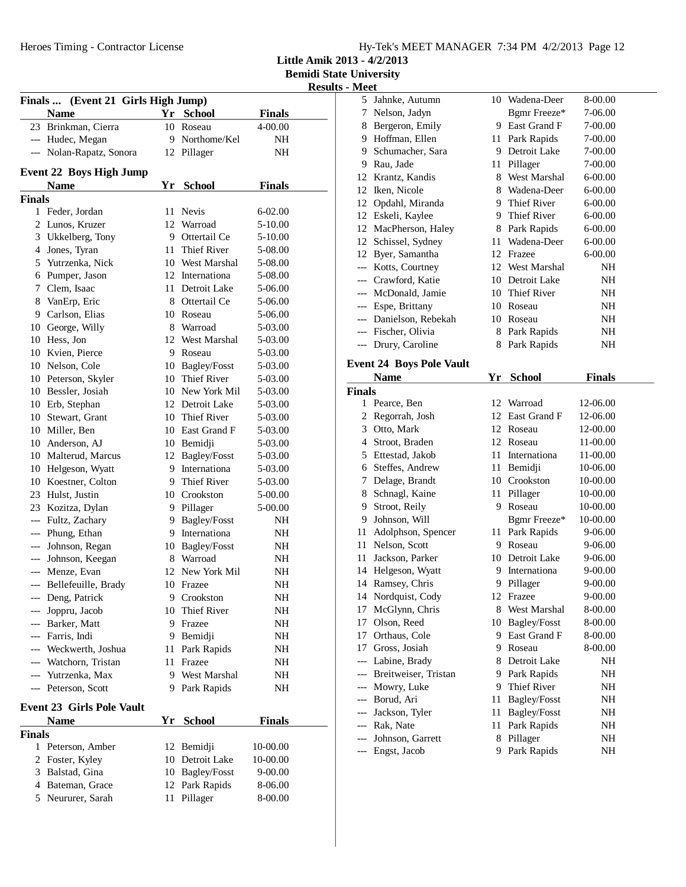**Little Amik 2013 - 4/2/2013**

| 11 U.U<br>Finals  (Event 21 Girls High Jump) |                                  |    |                     |               |  |  |
|----------------------------------------------|----------------------------------|----|---------------------|---------------|--|--|
|                                              | <b>Name</b>                      |    | Yr School           | <b>Finals</b> |  |  |
|                                              | 23 Brinkman, Cierra              | 10 | Roseau              | 4-00.00       |  |  |
|                                              | --- Hudec, Megan                 | 9  | Northome/Kel        | NH            |  |  |
|                                              | --- Nolan-Rapatz, Sonora         |    |                     |               |  |  |
|                                              |                                  | 12 | Pillager            | NΗ            |  |  |
|                                              | <b>Event 22 Boys High Jump</b>   |    |                     |               |  |  |
|                                              | <b>Name</b>                      | Yr | <b>School</b>       | <b>Finals</b> |  |  |
| <b>Finals</b>                                |                                  |    |                     |               |  |  |
|                                              | 1 Feder, Jordan                  | 11 | <b>Nevis</b>        | 6-02.00       |  |  |
|                                              | 2 Lunos, Kruzer                  |    | 12 Warroad          | 5-10.00       |  |  |
|                                              | 3 Ukkelberg, Tony                |    | 9 Ottertail Ce      | 5-10.00       |  |  |
|                                              | 4 Jones, Tyran                   |    | 11 Thief River      | 5-08.00       |  |  |
|                                              | 5 Yutrzenka, Nick                |    | 10 West Marshal     | 5-08.00       |  |  |
|                                              | 6 Pumper, Jason                  |    | 12 Internationa     | 5-08.00       |  |  |
|                                              | 7 Clem, Isaac                    |    | 11 Detroit Lake     | 5-06.00       |  |  |
| 8                                            | VanErp, Eric                     |    | 8 Ottertail Ce      | 5-06.00       |  |  |
| 9                                            | Carlson, Elias                   |    | 10 Roseau           | 5-06.00       |  |  |
| 10                                           | George, Willy                    |    | 8 Warroad           | 5-03.00       |  |  |
| 10                                           | Hess. Jon                        | 12 | <b>West Marshal</b> | 5-03.00       |  |  |
| 10                                           | Kvien, Pierce                    | 9  | Roseau              | 5-03.00       |  |  |
|                                              | 10 Nelson, Cole                  |    | 10 Bagley/Fosst     | 5-03.00       |  |  |
|                                              | 10 Peterson, Skyler              |    | 10 Thief River      | 5-03.00       |  |  |
|                                              | 10 Bessler, Josiah               |    | 10 New York Mil     | 5-03.00       |  |  |
|                                              | 10 Erb, Stephan                  |    | 12 Detroit Lake     | 5-03.00       |  |  |
|                                              | 10 Stewart, Grant                |    | 10 Thief River      | 5-03.00       |  |  |
|                                              | 10 Miller, Ben                   |    | 10 East Grand F     | 5-03.00       |  |  |
|                                              | 10 Anderson, AJ                  |    | 10 Bemidji          | 5-03.00       |  |  |
|                                              | 10 Malterud, Marcus              |    | 12 Bagley/Fosst     | 5-03.00       |  |  |
|                                              | 10 Helgeson, Wyatt               |    | 9 Internationa      | 5-03.00       |  |  |
|                                              | 10 Koestner, Colton              |    | 9 Thief River       | 5-03.00       |  |  |
| 23                                           | Hulst, Justin                    |    | 10 Crookston        | 5-00.00       |  |  |
|                                              | 23 Kozitza, Dylan                |    | 9 Pillager          | 5-00.00       |  |  |
| ---                                          | Fultz, Zachary                   |    | 9 Bagley/Fosst      | NΗ            |  |  |
| ---                                          | Phung, Ethan                     |    | 9 Internationa      | NH            |  |  |
|                                              | --- Johnson, Regan               |    | 10 Bagley/Fosst     | NH            |  |  |
|                                              | --- Johnson, Keegan              |    | 8 Warroad           | NH            |  |  |
| ---                                          | Menze, Evan                      |    | 12 New York Mil     | NΗ            |  |  |
|                                              | --- Bellefeuille, Brady          |    | 10 Frazee           | NΗ            |  |  |
| ---                                          | Deng, Patrick                    | 9  | Crookston           | NH            |  |  |
| ---                                          | Joppru, Jacob                    | 10 | Thief River         | NH            |  |  |
|                                              | --- Barker, Matt                 | 9  | Frazee              | NH            |  |  |
|                                              | --- Farris, Indi                 | 9  | Bemidji             | NH            |  |  |
|                                              | --- Weckwerth, Joshua            | 11 | Park Rapids         | NH            |  |  |
|                                              | --- Watchorn, Tristan            | 11 | Frazee              | NH            |  |  |
|                                              | --- Yutrzenka, Max               | 9  | <b>West Marshal</b> | NH            |  |  |
|                                              | --- Peterson, Scott              | 9  | Park Rapids         | NH            |  |  |
|                                              |                                  |    |                     |               |  |  |
|                                              | <b>Event 23 Girls Pole Vault</b> |    |                     |               |  |  |
|                                              | <b>Name</b>                      | Yr | <b>School</b>       | <b>Finals</b> |  |  |
| <b>Finals</b>                                |                                  |    |                     |               |  |  |
|                                              | 1 Peterson, Amber                | 12 | Bemidji             | 10-00.00      |  |  |
| 2                                            | Foster, Kyley                    |    | 10 Detroit Lake     | 10-00.00      |  |  |
|                                              | 3 Balstad, Gina                  |    | 10 Bagley/Fosst     | $9 - 00.00$   |  |  |
|                                              | 4 Bateman, Grace                 | 12 | Park Rapids         | 8-06.00       |  |  |
|                                              | 5 Neururer, Sarah                | 11 | Pillager            | 8-00.00       |  |  |
|                                              |                                  |    |                     |               |  |  |

|                                     | 5 Jahnke, Autumn                | 10 | Wadena-Deer     | 8-00.00     |
|-------------------------------------|---------------------------------|----|-----------------|-------------|
| 7                                   | Nelson, Jadyn                   |    | Bgmr Freeze*    | 7-06.00     |
| 8                                   | Bergeron, Emily                 | 9  | East Grand F    | $7 - 00.00$ |
| 9                                   | Hoffman, Ellen                  | 11 | Park Rapids     | $7 - 00.00$ |
| 9                                   | Schumacher, Sara                | 9  | Detroit Lake    | $7 - 00.00$ |
| 9                                   | Rau, Jade                       | 11 | Pillager        | $7 - 00.00$ |
| 12                                  | Krantz, Kandis                  |    | 8 West Marshal  | $6 - 00.00$ |
| 12                                  | Iken, Nicole                    | 8  | Wadena-Deer     | $6 - 00.00$ |
| 12                                  | Opdahl, Miranda                 | 9  | Thief River     | $6 - 00.00$ |
| 12                                  | Eskeli, Kaylee                  | 9  | Thief River     | $6 - 00.00$ |
| 12                                  | MacPherson, Haley               | 8  | Park Rapids     | $6 - 00.00$ |
| 12                                  | Schissel, Sydney                | 11 | Wadena-Deer     | $6 - 00.00$ |
|                                     | 12 Byer, Samantha               | 12 | Frazee          | $6 - 00.00$ |
|                                     | --- Kotts, Courtney             |    | 12 West Marshal | NH          |
|                                     | --- Crawford, Katie             | 10 | Detroit Lake    | NH          |
|                                     | McDonald, Jamie                 | 10 | Thief River     | NH          |
| $\hspace{0.05cm}---\hspace{0.05cm}$ | Espe, Brittany                  | 10 | Roseau          | NH          |
|                                     | Danielson, Rebekah              | 10 | Roseau          | NH          |
|                                     | --- Fischer, Olivia             | 8  | Park Rapids     | NH          |
|                                     | Drury, Caroline                 | 8  | Park Rapids     | NH          |
|                                     | <b>Event 24 Boys Pole Vault</b> |    |                 |             |

|               | Name                 | Yr | School             | Finals      |  |
|---------------|----------------------|----|--------------------|-------------|--|
| <b>Finals</b> |                      |    |                    |             |  |
| $\mathbf{1}$  | Pearce, Ben          | 12 | Warroad            | 12-06.00    |  |
| 2             | Regorrah, Josh       | 12 | East Grand F       | 12-06.00    |  |
| 3             | Otto, Mark           | 12 | Roseau             | 12-00.00    |  |
| 4             | Stroot, Braden       | 12 | Roseau             | 11-00.00    |  |
| 5             | Ettestad, Jakob      | 11 | Internationa       | 11-00.00    |  |
| 6             | Steffes, Andrew      | 11 | Bemidji            | 10-06.00    |  |
| 7             | Delage, Brandt       |    | 10 Crookston       | 10-00.00    |  |
| 8             | Schnagl, Kaine       | 11 | Pillager           | 10-00.00    |  |
| 9             | Stroot, Reily        | 9  | Roseau             | 10-00.00    |  |
| 9             | Johnson, Will        |    | Bgmr Freeze*       | 10-00.00    |  |
| 11            | Adolphson, Spencer   | 11 | Park Rapids        | 9-06.00     |  |
| 11            | Nelson, Scott        | 9  | Roseau             | 9-06.00     |  |
| 11            | Jackson, Parker      | 10 | Detroit Lake       | 9-06.00     |  |
| 14            | Helgeson, Wyatt      | 9  | Internationa       | 9-00.00     |  |
| 14            | Ramsey, Chris        | 9  | Pillager           | $9 - 00.00$ |  |
| 14            | Nordquist, Cody      | 12 | Frazee             | $9 - 00.00$ |  |
| 17            | McGlynn, Chris       | 8  | West Marshal       | 8-00.00     |  |
| 17            | Olson, Reed          | 10 | Bagley/Fosst       | 8-00.00     |  |
| 17            | Orthaus, Cole        | 9  | East Grand F       | 8-00.00     |  |
| 17            | Gross, Josiah        | 9  | Roseau             | 8-00.00     |  |
| ---           | Labine, Brady        | 8  | Detroit Lake       | NH          |  |
| $---$         | Breitweiser, Tristan | 9  | Park Rapids        | NH          |  |
| $---$         | Mowry, Luke          | 9  | <b>Thief River</b> | NH          |  |
| $---$         | Borud, Ari           | 11 | Bagley/Fosst       | NH          |  |
| $---$         | Jackson, Tyler       | 11 | Bagley/Fosst       | NH          |  |
| $---$         | Rak, Nate            | 11 | Park Rapids        | NH          |  |
|               | Johnson, Garrett     | 8  | Pillager           | NH          |  |
| ---           | Engst, Jacob         | 9  | Park Rapids        | NH          |  |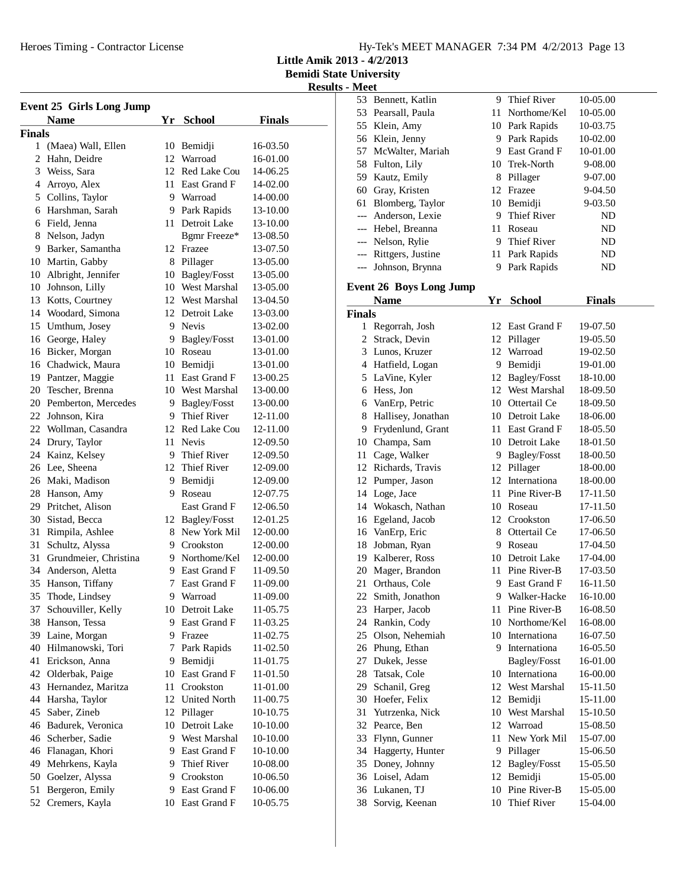**Little Amik 2013 - 4/2/2013**

**Bemidi State University**

| <b>Event 25 Girls Long Jump</b> |                                      |     |                           |                      |  |
|---------------------------------|--------------------------------------|-----|---------------------------|----------------------|--|
|                                 | <b>Name</b>                          | Yr  | <b>School</b>             | <b>Finals</b>        |  |
| <b>Finals</b>                   |                                      |     |                           |                      |  |
|                                 | 1 (Maea) Wall, Ellen                 |     | 10 Bemidji                | 16-03.50             |  |
| 2                               | Hahn, Deidre                         |     | 12 Warroad                | 16-01.00             |  |
|                                 | 3 Weiss, Sara                        |     | 12 Red Lake Cou           | 14-06.25             |  |
|                                 | 4 Arroyo, Alex                       | 11  | East Grand F              | 14-02.00             |  |
|                                 | 5 Collins, Taylor                    |     | 9 Warroad                 | 14-00.00             |  |
|                                 | 6 Harshman, Sarah                    |     | 9 Park Rapids             | 13-10.00             |  |
|                                 | 6 Field, Jenna                       |     | 11 Detroit Lake           | 13-10.00             |  |
|                                 | 8 Nelson, Jadyn                      |     | Bgmr Freeze*              | 13-08.50             |  |
|                                 | 9 Barker, Samantha                   |     | 12 Frazee                 | 13-07.50             |  |
|                                 | 10 Martin, Gabby                     |     | 8 Pillager                | 13-05.00             |  |
|                                 | 10 Albright, Jennifer                |     | 10 Bagley/Fosst           | 13-05.00             |  |
|                                 | 10 Johnson, Lilly                    |     | 10 West Marshal           | 13-05.00             |  |
|                                 | 13 Kotts, Courtney                   |     | 12 West Marshal           | 13-04.50             |  |
|                                 | 14 Woodard, Simona                   |     | 12 Detroit Lake           | 13-03.00             |  |
|                                 | 15 Umthum, Josey                     |     | 9 Nevis                   | 13-02.00             |  |
|                                 | 16 George, Haley                     |     | 9 Bagley/Fosst            | 13-01.00             |  |
|                                 | 16 Bicker, Morgan                    |     | 10 Roseau                 | 13-01.00             |  |
|                                 | 16 Chadwick, Maura                   |     | 10 Bemidji                | 13-01.00             |  |
|                                 | 19 Pantzer, Maggie                   | 11. | East Grand F              | 13-00.25             |  |
|                                 | 20 Tescher, Brenna                   |     | 10 West Marshal           | 13-00.00             |  |
|                                 | 20 Pemberton, Mercedes               | 9.  | Bagley/Fosst              | 13-00.00             |  |
|                                 | 22 Johnson, Kira                     | 9.  | <b>Thief River</b>        | 12-11.00             |  |
|                                 | 22 Wollman, Casandra                 | 12  | <b>Red Lake Cou</b>       | 12-11.00             |  |
|                                 | 24 Drury, Taylor                     | 11. | <b>Nevis</b>              | 12-09.50             |  |
|                                 | 24 Kainz, Kelsey                     |     | 9 Thief River             | 12-09.50             |  |
|                                 | 26 Lee, Sheena                       |     | 12 Thief River            | 12-09.00             |  |
|                                 | 26 Maki, Madison                     |     | 9 Bemidji                 | 12-09.00             |  |
|                                 | 28 Hanson, Amy                       | 9.  | Roseau                    | 12-07.75             |  |
|                                 | 29 Pritchet, Alison                  |     | East Grand F              | 12-06.50             |  |
|                                 | 30 Sistad, Becca                     |     | 12 Bagley/Fosst           | 12-01.25             |  |
|                                 | 31 Rimpila, Ashlee                   |     | 8 New York Mil            | 12-00.00             |  |
|                                 | 31 Schultz, Alyssa                   |     | 9 Crookston               | 12-00.00             |  |
|                                 | 31 Grundmeier, Christina             |     | 9 Northome/Kel            | 12-00.00             |  |
|                                 | 34 Anderson, Aletta                  |     | 9 East Grand F            | 11-09.50             |  |
|                                 | 35 Hanson, Tiffany                   | 7   | East Grand F              | 11-09.00             |  |
| 35                              |                                      | 9   | Warroad                   | 11-09.00             |  |
| 37                              | Thode, Lindsey<br>Schouviller, Kelly |     | 10 Detroit Lake           |                      |  |
|                                 | 38 Hanson, Tessa                     | 9   | East Grand F              | 11-05.75<br>11-03.25 |  |
|                                 | 39 Laine, Morgan                     | 9   | Frazee                    |                      |  |
|                                 | 40 Hilmanowski, Tori                 | 7   | Park Rapids               | 11-02.75<br>11-02.50 |  |
| 41                              | Erickson, Anna                       |     |                           | 11-01.75             |  |
|                                 |                                      | 9   | Bemidji                   | 11-01.50             |  |
|                                 | 42 Olderbak, Paige                   | 10  | East Grand F<br>Crookston |                      |  |
|                                 | 43 Hernandez, Maritza                | 11  |                           | 11-01.00             |  |
|                                 | 44 Harsha, Taylor                    | 12  | <b>United North</b>       | 11-00.75             |  |
| 45                              | Saber, Zineb                         | 12  | Pillager                  | 10-10.75             |  |
|                                 | 46 Badurek, Veronica                 | 10  | Detroit Lake              | 10-10.00             |  |
| 46                              | Scherber, Sadie                      | 9.  | West Marshal              | 10-10.00             |  |
|                                 | 46 Flanagan, Khori                   | 9.  | East Grand F              | 10-10.00             |  |
| 49                              | Mehrkens, Kayla                      | 9   | Thief River               | 10-08.00             |  |
| 50                              | Goelzer, Alyssa                      | 9   | Crookston                 | 10-06.50             |  |
| 51                              | Bergeron, Emily                      | 9.  | East Grand F              | 10-06.00             |  |
| 52                              | Cremers, Kayla                       |     | 10 East Grand F           | 10-05.75             |  |
|                                 |                                      |     |                           |                      |  |

|               | 53 Bennett, Katlin                     |    | 9 Thief River   | 10-05.00 |
|---------------|----------------------------------------|----|-----------------|----------|
|               | 53 Pearsall, Paula                     |    | 11 Northome/Kel | 10-05.00 |
|               | 55 Klein, Amy                          |    | 10 Park Rapids  | 10-03.75 |
|               | 56 Klein, Jenny                        |    | 9 Park Rapids   | 10-02.00 |
|               | 57 McWalter, Mariah                    |    | 9 East Grand F  | 10-01.00 |
|               | 58 Fulton, Lily                        |    | 10 Trek-North   | 9-08.00  |
|               | 59 Kautz, Emily                        |    | 8 Pillager      | 9-07.00  |
|               | 60 Gray, Kristen                       |    | 12 Frazee       | 9-04.50  |
|               | 61 Blomberg, Taylor                    |    | 10 Bemidji      | 9-03.50  |
|               | --- Anderson, Lexie                    |    | 9 Thief River   | ND       |
|               | --- Hebel, Breanna                     |    | 11 Roseau       | ND       |
|               | --- Nelson, Rylie                      |    | 9 Thief River   | ND       |
|               | --- Rittgers, Justine                  | 11 | Park Rapids     | ND       |
|               | --- Johnson, Brynna                    |    | 9 Park Rapids   | ND       |
|               |                                        |    |                 |          |
|               | <b>Event 26 Boys Long Jump</b><br>Name |    |                 |          |
|               |                                        |    | Yr School       | Finals   |
| <b>Finals</b> |                                        |    |                 |          |
| 1             | Regorrah, Josh                         |    | 12 East Grand F | 19-07.50 |
|               | 2 Strack, Devin                        |    | 12 Pillager     | 19-05.50 |
|               | 3 Lunos, Kruzer                        |    | 12 Warroad      | 19-02.50 |
|               | 4 Hatfield, Logan                      |    | 9 Bemidji       | 19-01.00 |
|               | 5 LaVine, Kyler                        |    | 12 Bagley/Fosst | 18-10.00 |
|               | 6 Hess, Jon                            |    | 12 West Marshal | 18-09.50 |
|               | 6 VanErp, Petric                       |    | 10 Ottertail Ce | 18-09.50 |
|               | 8 Hallisey, Jonathan                   |    | 10 Detroit Lake | 18-06.00 |
|               | 9 Frydenlund, Grant                    |    | 11 East Grand F | 18-05.50 |
|               | 10 Champa, Sam                         |    | 10 Detroit Lake | 18-01.50 |
|               | 11 Cage, Walker                        |    | 9 Bagley/Fosst  | 18-00.50 |
|               | 12 Richards, Travis                    |    | 12 Pillager     | 18-00.00 |
|               | 12 Pumper, Jason                       |    | 12 Internationa | 18-00.00 |
|               | 14 Loge, Jace                          |    | 11 Pine River-B | 17-11.50 |
|               | 14 Wokasch, Nathan                     |    | 10 Roseau       | 17-11.50 |
|               | 16 Egeland, Jacob                      |    | 12 Crookston    | 17-06.50 |
|               | 16 VanErp, Eric                        |    | 8 Ottertail Ce  | 17-06.50 |
|               | 18 Jobman, Ryan                        |    | 9 Roseau        | 17-04.50 |
|               | 19 Kalberer, Ross                      |    | 10 Detroit Lake | 17-04.00 |
|               | 20 Mager, Brandon                      |    | 11 Pine River-B | 17-03.50 |
|               | 21 Orthaus, Cole                       |    | 9 East Grand F  | 16-11.50 |
| 22            | Smith, Jonathon                        | 9  | Walker-Hacke    | 16-10.00 |
| 23            | Harper, Jacob                          | 11 | Pine River-B    | 16-08.50 |
| 24            | Rankin, Cody                           |    | 10 Northome/Kel | 16-08.00 |
|               | 25 Olson, Nehemiah                     |    | 10 Internationa | 16-07.50 |
|               | 26 Phung, Ethan                        |    | 9 Internationa  | 16-05.50 |
|               | 27 Dukek, Jesse                        |    | Bagley/Fosst    | 16-01.00 |
|               | 28 Tatsak, Cole                        |    | 10 Internationa | 16-00.00 |
|               | 29 Schanil, Greg                       |    | 12 West Marshal | 15-11.50 |
|               | 30 Hoefer, Felix                       |    | 12 Bemidji      | 15-11.00 |
| 31            | Yutrzenka, Nick                        |    | 10 West Marshal | 15-10.50 |
|               | 32 Pearce, Ben                         |    | 12 Warroad      | 15-08.50 |
| 33            | Flynn, Gunner                          | 11 | New York Mil    | 15-07.00 |
|               | 34 Haggerty, Hunter                    |    | 9 Pillager      | 15-06.50 |
| 35            | Doney, Johnny                          | 12 | Bagley/Fosst    | 15-05.50 |
| 36            | Loisel, Adam                           | 12 | Bemidji         | 15-05.00 |
| 36            | Lukanen, TJ                            | 10 | Pine River-B    | 15-05.00 |
| 38            | Sorvig, Keenan                         | 10 | Thief River     | 15-04.00 |
|               |                                        |    |                 |          |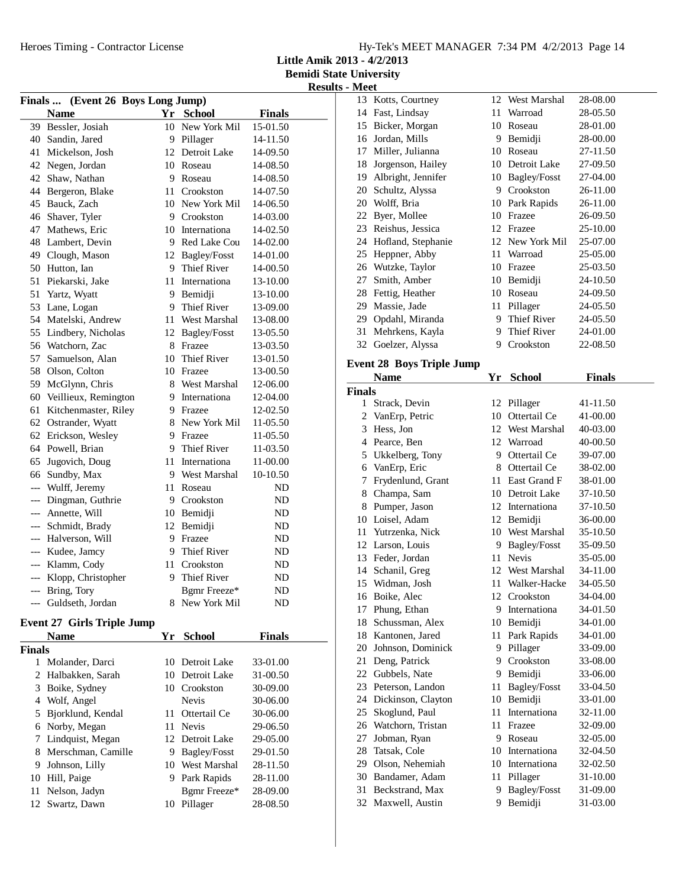**Little Amik 2013 - 4/2/2013**

**Bemidi State University Results - Meet**

| Finals  (Event 26 Boys Long Jump) |                                     |    |                              |               |  |
|-----------------------------------|-------------------------------------|----|------------------------------|---------------|--|
|                                   | <b>Name</b>                         |    | Yr School                    | <b>Finals</b> |  |
|                                   | 39 Bessler, Josiah                  |    | 10 New York Mil              | 15-01.50      |  |
|                                   | 40 Sandin, Jared                    |    | 9 Pillager                   | 14-11.50      |  |
| 41                                | Mickelson, Josh                     |    | 12 Detroit Lake              | 14-09.50      |  |
| 42                                | Negen, Jordan                       |    | 10 Roseau                    | 14-08.50      |  |
| 42                                | Shaw, Nathan                        | 9  | Roseau                       | 14-08.50      |  |
| 44                                | Bergeron, Blake                     | 11 | Crookston                    | 14-07.50      |  |
| 45                                | Bauck, Zach                         |    | 10 New York Mil              | 14-06.50      |  |
| 46                                | Shaver, Tyler                       |    | 9 Crookston                  | 14-03.00      |  |
| 47                                | Mathews, Eric                       |    | 10 Internationa              | 14-02.50      |  |
| 48                                | Lambert, Devin                      |    | 9 Red Lake Cou               | 14-02.00      |  |
|                                   | 49 Clough, Mason                    |    | 12 Bagley/Fosst              | 14-01.00      |  |
| 50                                | Hutton, Ian                         |    | 9 Thief River                | 14-00.50      |  |
| 51                                | Piekarski, Jake                     |    | 11 Internationa              | 13-10.00      |  |
| 51                                | Yartz, Wyatt                        |    | 9 Bemidji                    | 13-10.00      |  |
| 53                                | Lane, Logan                         |    | 9 Thief River                | 13-09.00      |  |
| 54                                | Matelski, Andrew                    |    | 11 West Marshal              | 13-08.00      |  |
| 55                                | Lindbery, Nicholas                  |    | 12 Bagley/Fosst              | 13-05.50      |  |
| 56                                | Watchorn, Zac                       |    | 8 Frazee                     | 13-03.50      |  |
| 57                                | Samuelson, Alan                     | 10 | Thief River                  | 13-01.50      |  |
| 58                                | Olson, Colton                       |    | 10 Frazee                    | 13-00.50      |  |
| 59                                | McGlynn, Chris                      |    | 8 West Marshal               | 12-06.00      |  |
| 60                                | Veillieux, Remington                |    | 9 Internationa               | 12-04.00      |  |
| 61                                | Kitchenmaster, Riley                |    | 9 Frazee                     | 12-02.50      |  |
| 62                                | Ostrander, Wyatt                    |    | 8 New York Mil               | 11-05.50      |  |
| 62                                | Erickson, Wesley                    |    | 9 Frazee                     | 11-05.50      |  |
| 64                                | Powell, Brian                       |    | 9 Thief River                | 11-03.50      |  |
| 65                                | Jugovich, Doug                      | 11 | Internationa                 | 11-00.00      |  |
| 66                                | Sundby, Max                         | 9  | West Marshal                 | 10-10.50      |  |
| ---                               | Wulff, Jeremy                       | 11 | Roseau                       | ND            |  |
| ---                               | Dingman, Guthrie                    |    | 9 Crookston                  | ND            |  |
| $---$                             | Annette, Will                       |    | 10 Bemidji                   | ND            |  |
| $---$                             | Schmidt, Brady                      |    | 12 Bemidji                   | ND            |  |
|                                   | --- Halverson, Will                 |    | 9 Frazee                     | ND            |  |
|                                   | --- Kudee, Jamcy                    |    | 9 Thief River                | ND            |  |
|                                   | --- Klamm, Cody                     |    | 11 Crookston                 | ND            |  |
| ---                               | Klopp, Christopher                  | 9  | <b>Thief River</b>           | ND            |  |
| $---$                             | Bring, Tory                         |    | Bgmr Freeze*                 | ND            |  |
|                                   | Guldseth, Jordan                    |    | 8 New York Mil               | ND            |  |
|                                   |                                     |    |                              |               |  |
|                                   | <b>Event 27 Girls Triple Jump</b>   |    |                              |               |  |
|                                   | <b>Name</b>                         |    | Yr School                    | <b>Finals</b> |  |
| Finals                            |                                     |    |                              |               |  |
| 1<br>2                            | Molander, Darci<br>Halbakken, Sarah | 10 | Detroit Lake<br>Detroit Lake | 33-01.00      |  |
|                                   |                                     | 10 |                              | 31-00.50      |  |
| 3                                 | Boike, Sydney                       |    | 10 Crookston<br><b>Nevis</b> | 30-09.00      |  |
|                                   | 4 Wolf, Angel                       |    |                              | 30-06.00      |  |
| 5                                 | Bjorklund, Kendal                   | 11 | Ottertail Ce                 | 30-06.00      |  |
| 6                                 | Norby, Megan                        | 11 | Nevis                        | 29-06.50      |  |

7 Lindquist, Megan 12 Detroit Lake 29-05.00 8 Merschman, Camille 9 Bagley/Fosst 29-01.50<br>9 Johnson, Lilly 10 West Marshal 28-11.50

10 Hill, Paige 9 Park Rapids 28-11.00 11 Nelson, Jadyn<br>12 Swartz, Dawn<br>10 Pillager<br>28-08.50 12 Swartz, Dawn 10 Pillager 28-08.50

10 West Marshal 28-11.50

|               | <b>IMICCL</b>                    |     |                 |               |
|---------------|----------------------------------|-----|-----------------|---------------|
|               | 13 Kotts, Courtney               | 12  | West Marshal    | 28-08.00      |
|               | 14 Fast, Lindsay                 | 11- | Warroad         | 28-05.50      |
|               | 15 Bicker, Morgan                |     | 10 Roseau       | 28-01.00      |
|               | 16 Jordan, Mills                 | 9.  | Bemidji         | 28-00.00      |
|               |                                  |     |                 |               |
|               | 17 Miller, Julianna              | 10  | Roseau          | 27-11.50      |
|               | 18 Jorgenson, Hailey             | 10  | Detroit Lake    | 27-09.50      |
|               | 19 Albright, Jennifer            |     | 10 Bagley/Fosst | 27-04.00      |
|               | 20 Schultz, Alyssa               |     | 9 Crookston     | 26-11.00      |
|               | 20 Wolff, Bria                   |     | 10 Park Rapids  | 26-11.00      |
|               | 22 Byer, Mollee                  |     | 10 Frazee       | 26-09.50      |
|               | 23 Reishus, Jessica              |     | 12 Frazee       | 25-10.00      |
|               | 24 Hofland, Stephanie            |     | 12 New York Mil | 25-07.00      |
|               | 25 Heppner, Abby                 |     | 11 Warroad      | 25-05.00      |
|               | 26 Wutzke, Taylor                |     | 10 Frazee       | 25-03.50      |
|               | 27 Smith, Amber                  |     | 10 Bemidji      | 24-10.50      |
|               | 28 Fettig, Heather               |     | 10 Roseau       | 24-09.50      |
|               |                                  |     |                 |               |
|               | 29 Massie, Jade                  | 11  | Pillager        | 24-05.50      |
|               | 29 Opdahl, Miranda               |     | 9 Thief River   | 24-05.50      |
|               | 31 Mehrkens, Kayla               |     | 9 Thief River   | 24-01.00      |
| 32            | Goelzer, Alyssa                  | 9   | Crookston       | 22-08.50      |
|               |                                  |     |                 |               |
|               | <b>Event 28 Boys Triple Jump</b> |     |                 |               |
|               | Name                             |     | Yr School       | <b>Finals</b> |
| <b>Finals</b> |                                  |     |                 |               |
|               | 1 Strack, Devin                  |     | 12 Pillager     | 41-11.50      |
|               | 2 VanErp, Petric                 |     | 10 Ottertail Ce | 41-00.00      |
|               | 3 Hess, Jon                      |     | 12 West Marshal | 40-03.00      |
|               | 4 Pearce, Ben                    |     | 12 Warroad      | 40-00.50      |
|               |                                  |     |                 |               |
|               | 5 Ukkelberg, Tony                |     | 9 Ottertail Ce  | 39-07.00      |
| 6             |                                  |     | 8 Ottertail Ce  | 38-02.00      |
|               | VanErp, Eric                     |     |                 |               |
| 7             | Frydenlund, Grant                | 11  | East Grand F    | 38-01.00      |
|               | 8 Champa, Sam                    |     | 10 Detroit Lake | 37-10.50      |
|               | 8 Pumper, Jason                  |     | 12 Internationa | 37-10.50      |
|               | 10 Loisel, Adam                  |     | 12 Bemidji      | 36-00.00      |
|               | 11 Yutrzenka, Nick               |     | 10 West Marshal | 35-10.50      |
|               | 12 Larson, Louis                 |     | 9 Bagley/Fosst  | 35-09.50      |
|               | 13 Feder, Jordan                 | 11  | <b>Nevis</b>    | 35-05.00      |
|               | 14 Schanil, Greg                 |     | 12 West Marshal | 34-11.00      |
|               | 15 Widman, Josh                  | 11  | Walker-Hacke    | 34-05.50      |
|               | 16 Boike, Alec                   |     | 12 Crookston    | 34-04.00      |
| 17            | Phung, Ethan                     |     | 9 Internationa  | 34-01.50      |
|               | 18 Schussman, Alex               | 10  | Bemidji         | 34-01.00      |
|               | 18 Kantonen, Jared               | 11  | Park Rapids     | 34-01.00      |
|               | 20 Johnson, Dominick             | 9.  | Pillager        | 33-09.00      |
|               |                                  | 9   | Crookston       |               |
| 21            | Deng, Patrick                    |     |                 | 33-08.00      |
|               | 22 Gubbels, Nate                 | 9   | Bemidji         | 33-06.00      |
|               | 23 Peterson, Landon              | 11  | Bagley/Fosst    | 33-04.50      |
|               | 24 Dickinson, Clayton            | 10  | Bemidji         | 33-01.00      |
|               | 25 Skoglund, Paul                | 11  | Internationa    | 32-11.00      |
|               | 26 Watchorn, Tristan             | 11  | Frazee          | 32-09.00      |
| 27            | Jobman, Ryan                     | 9.  | Roseau          | 32-05.00      |
|               | 28 Tatsak, Cole                  | 10  | Internationa    | 32-04.50      |
|               | 29 Olson, Nehemiah               | 10  | Internationa    | 32-02.50      |
|               | 30 Bandamer, Adam                | 11  | Pillager        | 31-10.00      |
|               | 31 Beckstrand, Max               | 9   | Bagley/Fosst    | 31-09.00      |
|               | 32 Maxwell, Austin               | 9   | Bemidji         | 31-03.00      |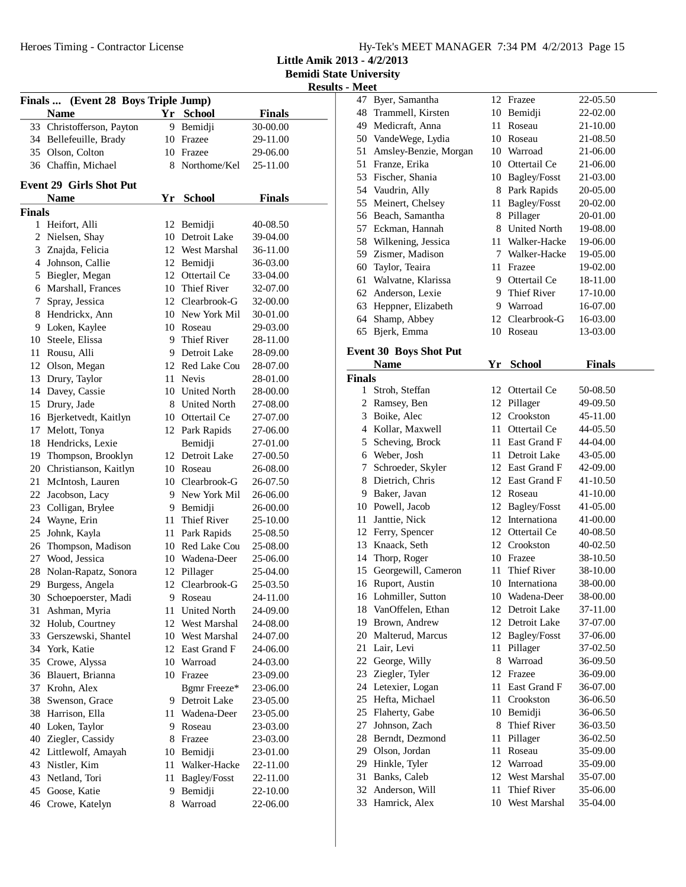**Little Amik 2013 - 4/2/2013**

**Bemidi State University**

|               |                                     |      |                     |               | Results - <i>IVI</i> |
|---------------|-------------------------------------|------|---------------------|---------------|----------------------|
|               | Finals  (Event 28 Boys Triple Jump) |      |                     |               | 4<br>4               |
|               | <b>Name</b>                         |      | Yr School           | <b>Finals</b> | $\mathbf{4}$         |
|               | 33 Christofferson, Payton           |      | 9 Bemidji           | 30-00.00      | $\mathfrak{z}$       |
|               | 34 Bellefeuille, Brady              |      | 10 Frazee           | 29-11.00      |                      |
|               | 35 Olson, Colton                    |      | 10 Frazee           | 29-06.00      | 5<br>5               |
|               | 36 Chaffin, Michael                 |      | 8 Northome/Kel      | 25-11.00      | 5 <sup>2</sup>       |
|               | <b>Event 29 Girls Shot Put</b>      |      |                     |               | 5 <sub>4</sub>       |
|               | <b>Name</b>                         |      | Yr School           | <b>Finals</b> | 5 <sup>2</sup>       |
| <b>Finals</b> |                                     |      |                     |               | $\mathfrak{S}$       |
|               | 1 Heifort, Alli                     |      | 12 Bemidji          | 40-08.50      | 5'                   |
| 2             | Nielsen, Shay                       |      | 10 Detroit Lake     | 39-04.00      | 5 <sub>i</sub>       |
| 3             | Znajda, Felicia                     |      | 12 West Marshal     | 36-11.00      | 5 <sup>0</sup>       |
|               | 4 Johnson, Callie                   |      | 12 Bemidji          | 36-03.00      | 6 <sup>1</sup>       |
|               | 5 Biegler, Megan                    |      | 12 Ottertail Ce     | 33-04.00      | 6                    |
|               | 6 Marshall, Frances                 |      | 10 Thief River      | 32-07.00      | 6                    |
| 7             | Spray, Jessica                      |      | 12 Clearbrook-G     | 32-00.00      | 6 <sup>2</sup>       |
|               | 8 Hendrickx, Ann                    |      | 10 New York Mil     | 30-01.00      | 6                    |
|               | 9 Loken, Kaylee                     |      | 10 Roseau           | 29-03.00      | 6                    |
|               | 10 Steele, Elissa                   |      | 9 Thief River       | 28-11.00      |                      |
| 11            | Rousu, Alli                         |      | 9 Detroit Lake      | 28-09.00      | Eve                  |
|               | 12 Olson, Megan                     |      | 12 Red Lake Cou     | 28-07.00      |                      |
| 13            | Drury, Taylor                       |      | 11 Nevis            | 28-01.00      | Fin                  |
| 14            | Davey, Cassie                       |      | 10 United North     | 28-00.00      |                      |
| 15            | Drury, Jade                         |      | 8 United North      | 27-08.00      |                      |
| 16            | Bjerketvedt, Kaitlyn                |      | 10 Ottertail Ce     | 27-07.00      |                      |
| 17            | Melott, Tonya                       |      | 12 Park Rapids      | 27-06.00      |                      |
| 18            | Hendricks, Lexie                    |      | Bemidji             | 27-01.00      |                      |
|               | 19 Thompson, Brooklyn               |      | 12 Detroit Lake     | 27-00.50      |                      |
|               | 20 Christianson, Kaitlyn            |      | 10 Roseau           | 26-08.00      |                      |
| 21            | McIntosh, Lauren                    |      | 10 Clearbrook-G     | 26-07.50      |                      |
| 22            | Jacobson, Lacy                      |      | 9 New York Mil      | 26-06.00      |                      |
| 23            | Colligan, Brylee                    |      | 9 Bemidji           | 26-00.00      | 10                   |
| 24            | Wayne, Erin                         | 11 - | Thief River         | 25-10.00      | $\mathbf{1}$         |
| 25            | Johnk, Kayla                        |      | 11 Park Rapids      | 25-08.50      | 11                   |
| 26            | Thompson, Madison                   |      | 10 Red Lake Cou     | 25-08.00      | $1^{\circ}$          |
| 27            | Wood, Jessica                       |      | 10 Wadena-Deer      | 25-06.00      | 1.                   |
| 28            | Nolan-Rapatz, Sonora                |      | 12 Pillager         | 25-04.00      | 1:                   |
| 29            | Burgess, Angela                     | 12   | Clearbrook-G        | 25-03.50      | 1                    |
|               | 30 Schoepoerster, Madi              | 9    | Roseau              | 24-11.00      | $\mathbf{1}$         |
| 31            | Ashman, Myria                       | 11   | <b>United North</b> | 24-09.00      | 1:                   |
| 32            | Holub, Courtney                     |      | 12 West Marshal     | 24-08.00      | 1 <sup>1</sup>       |
|               | 33 Gerszewski, Shantel              |      | 10 West Marshal     | 24-07.00      | $\overline{2}$       |
|               | 34 York, Katie                      |      | 12 East Grand F     | 24-06.00      | $\overline{2}$       |
| 35            | Crowe, Alyssa                       |      | 10 Warroad          | 24-03.00      | $2^{\prime}$         |
|               | 36 Blauert, Brianna                 |      | 10 Frazee           | 23-09.00      | $\overline{2}$       |
| 37            | Krohn, Alex                         |      | Bgmr Freeze*        | 23-06.00      | 2                    |
| 38            | Swenson, Grace                      |      | 9 Detroit Lake      | 23-05.00      | $\overline{2}$       |
| 38            | Harrison, Ella                      | 11   | Wadena-Deer         | 23-05.00      | $\overline{2}$       |
|               | 40 Loken, Taylor                    |      | 9 Roseau            | 23-03.00      | $2^{\prime}$         |
|               | 40 Ziegler, Cassidy                 |      | 8 Frazee            | 23-03.00      | $\overline{2}$       |
|               | 42 Littlewolf, Amayah               | 10   | Bemidji             | 23-01.00      | 2 <sup>1</sup>       |
|               | 43 Nistler, Kim                     | 11   | Walker-Hacke        | 22-11.00      | 2 <sup>1</sup>       |
|               | 43 Netland, Tori                    | 11   | Bagley/Fosst        | 22-11.00      | 3                    |
|               | 45 Goose, Katie                     |      | 9 Bemidji           | 22-10.00      | 3 <sup>′</sup>       |
|               | 46 Crowe, Katelyn                   | 8    | Warroad             | 22-06.00      | 3 <sup>2</sup>       |
|               |                                     |      |                     |               |                      |

| 47     | Byer, Samantha                |      | 12 Frazee          | 22-05.50      |
|--------|-------------------------------|------|--------------------|---------------|
| 48     | Trammell, Kirsten             |      | 10 Bemidji         | 22-02.00      |
| 49     | Medicraft, Anna               | 11   | Roseau             | 21-10.00      |
| 50     | VandeWege, Lydia              |      | 10 Roseau          | 21-08.50      |
| 51     | Amsley-Benzie, Morgan         |      | 10 Warroad         | 21-06.00      |
| 51     | Franze, Erika                 |      | 10 Ottertail Ce    | 21-06.00      |
| 53     | Fischer, Shania               |      | 10 Bagley/Fosst    | 21-03.00      |
|        | 54 Vaudrin, Ally              |      | 8 Park Rapids      | 20-05.00      |
| 55     | Meinert, Chelsey              | 11   | Bagley/Fosst       | 20-02.00      |
|        | 56 Beach, Samantha            |      | 8 Pillager         | 20-01.00      |
|        | 57 Eckman, Hannah             |      | 8 United North     | 19-08.00      |
| 58     | Wilkening, Jessica            |      | 11 Walker-Hacke    | 19-06.00      |
| 59     | Zismer, Madison               |      | 7 Walker-Hacke     | 19-05.00      |
| 60     | Taylor, Teaira                |      | 11 Frazee          | 19-02.00      |
| 61     | Walvatne, Klarissa            |      | 9 Ottertail Ce     | 18-11.00      |
| 62     | Anderson, Lexie               |      | 9 Thief River      | 17-10.00      |
| 63     | Heppner, Elizabeth            |      | 9 Warroad          | 16-07.00      |
| 64     |                               |      | 12 Clearbrook-G    |               |
|        | Shamp, Abbey                  |      | Roseau             | 16-03.00      |
| 65     | Bjerk, Emma                   | 10   |                    | 13-03.00      |
|        | <b>Event 30 Boys Shot Put</b> |      |                    |               |
|        | <b>Name</b>                   | Yr   | <b>School</b>      | <b>Finals</b> |
| Finals |                               |      |                    |               |
|        | 1 Stroh, Steffan              |      | 12 Ottertail Ce    | 50-08.50      |
|        | 2 Ramsey, Ben                 |      | 12 Pillager        | 49-09.50      |
| 3      | Boike, Alec                   |      | 12 Crookston       | 45-11.00      |
|        | 4 Kollar, Maxwell             |      | 11 Ottertail Ce    | 44-05.50      |
| 5      | Scheving, Brock               |      | 11 East Grand F    | 44-04.00      |
| 6      | Weber, Josh                   |      | 11 Detroit Lake    | 43-05.00      |
| 7      | Schroeder, Skyler             |      | 12 East Grand F    | 42-09.00      |
| 8      | Dietrich, Chris               |      | 12 East Grand F    | 41-10.50      |
| 9      | Baker, Javan                  |      | 12 Roseau          | 41-10.00      |
|        | 10 Powell, Jacob              |      | 12 Bagley/Fosst    | 41-05.00      |
| 11     | Janttie, Nick                 |      | 12 Internationa    | 41-00.00      |
|        | 12 Ferry, Spencer             |      | 12 Ottertail Ce    | 40-08.50      |
| 13     | Knaack, Seth                  |      | 12 Crookston       | 40-02.50      |
| 14     | Thorp, Roger                  |      | 10 Frazee          | 38-10.50      |
| 15     | Georgewill, Cameron           |      | 11 Thief River     | 38-10.00      |
| 16     | Ruport, Austin                |      | 10 Internationa    | 38-00.00      |
| 16     | Lohmiller, Sutton             | 10   | Wadena-Deer        | 38-00.00      |
| 18     | VanOffelen, Ethan             | 12   | Detroit Lake       | 37-11.00      |
| 19     | Brown, Andrew                 | 12   | Detroit Lake       | 37-07.00      |
| 20     | Malterud, Marcus              | 12   | Bagley/Fosst       | 37-06.00      |
| 21     | Lair, Levi                    | 11   | Pillager           | 37-02.50      |
| 22     |                               | 8    | Warroad            | 36-09.50      |
| 23     | George, Willy                 |      | 12 Frazee          |               |
|        | Ziegler, Tyler                |      |                    | 36-09.00      |
| 24     | Letexier, Logan               | 11   | East Grand F       | 36-07.00      |
| 25     | Hefta, Michael                | 11 - | Crookston          | 36-06.50      |
| 25     | Flaherty, Gabe                |      | 10 Bemidji         | 36-06.50      |
| 27     | Johnson, Zach                 | 8    | <b>Thief River</b> | 36-03.50      |
| 28     | Berndt, Dezmond               | 11   | Pillager           | 36-02.50      |
| 29     | Olson, Jordan                 | 11   | Roseau             | 35-09.00      |
| 29     | Hinkle, Tyler                 | 12   | Warroad            | 35-09.00      |
| 31     | Banks, Caleb                  | 12   | West Marshal       | 35-07.00      |
| 32     | Anderson, Will                | 11   | Thief River        | 35-06.00      |
| 33     | Hamrick, Alex                 | 10   | West Marshal       | 35-04.00      |
|        |                               |      |                    |               |